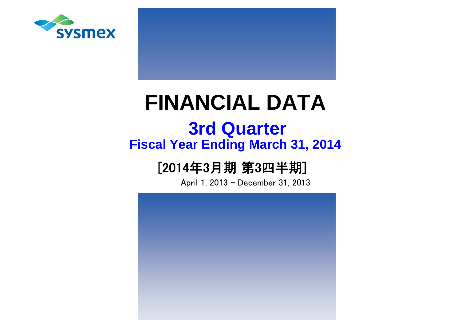



# **FINANCIAL DATA**

## **Fiscal Year Ending March 31, 2014 3rd Quarter**

## [2014年3月期 第3四半期]

April 1, 2013 - December 31, 2013

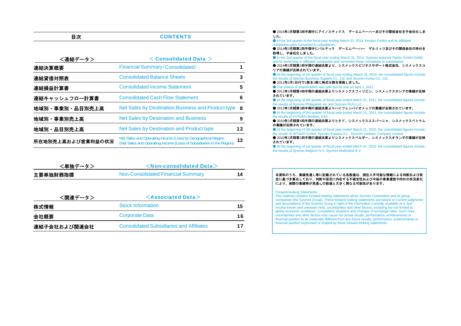| <連結データ>           | $<$ Consolidated Data $>$                                                                                                             |    |
|-------------------|---------------------------------------------------------------------------------------------------------------------------------------|----|
| 連結決算概要            | <b>Financial Summary (Consolidated)</b>                                                                                               |    |
| 連結貸借対照表           | <b>Consolidated Balance Sheets</b>                                                                                                    | 3  |
| 連結損益計算書           | <b>Consolidated Income Statement</b>                                                                                                  | 5  |
| 連結キャッシュフロー計算書     | <b>Consolidated Cash Flow Statement</b>                                                                                               | 6  |
| 地域別・事業別・品目別売上高    | Net Sales by Destination, Business and Product type                                                                                   | 8  |
| 地域別·事業別売上高        | <b>Net Sales by Destination and Business</b>                                                                                          | 9  |
| 地域別・品目別売上高        | Net Sales by Destination and Product type                                                                                             | 12 |
| 所在地別売上高および営業利益の状況 | Net Sales and Operating Income (Loss) by Geographical Region<br>(Net Sales and Operating Income (Loss) of Subsidiaries in the Region) | 13 |

**CONTENTS** 

目次

| <単独データ>  | $\leq$ Non-consolidated Data $>$   |    |
|----------|------------------------------------|----|
| 主要単独財務指標 | Non-Consolidated Financial Summary | 14 |

| <関連データ>      | $\leq$ Associated Data $>$                      |    |  |  |  |  |  |  |
|--------------|-------------------------------------------------|----|--|--|--|--|--|--|
| 株式情報         | <b>Stock Information</b>                        | 15 |  |  |  |  |  |  |
| 会社概要         | <b>Corporate Data</b>                           | 16 |  |  |  |  |  |  |
| 連結子会社および関連会社 | <b>Consolidated Subsidiaries and Affiliates</b> | 17 |  |  |  |  |  |  |

● 2014年3月期第3四半期中にアイノスティクス ゲーエムベーハ一及びその関係会社を子会社化しま した。 ● In the 3rd quarter of the fiscal year ending March 31, 2014, Inostics GmbH and its affiliated companies were converted to subsidiaries. ● 2014年3月期第2四半期中にパルテック ゲーエムベーハー ゲルリッツ及びその関係会社の持分を 取得し、子会社化しました。● In the 2nd quarter of the fiscal year ending March 31, 2014, Sysmex acquired Partec GmbH Görlitz and its ownership in affiliated companies and converted these companies to subsidiaries. ● 2014年3月期第1四半期の連結決算より、シスメックスビジネスサポート株式会社、シスメックスコ リアの業績が反映されています。● At the beginning of 1st quarter of fiscal year ending March 31, 2014, the consolidated figures include The results of Sysmex Business Support Co., Ltd. and Sysmex Korea Co., Ltd. ● 2011年4月1日付で1株を2株に株式分割を実施しました。 ● The shares of shareholders was split two for one on April 1, 2011. ● 2011年3月期第4四半期の連結決算よりシスメックスフィリピン、シスメックスロシアの業績が反映 されています。● At the beginning of 4th quarter of fiscal year ended March 31, 2011, the consolidated figures include the results of Sysmex Philippines Inc and Sysmex RUS LLC. ● 2011年3月期第3四半期の連結決算よりハイフェンバイオメッドの業績が反映されています。 ● At the beginning of 3rd quarter of fiscal year ended March 31, 2011, the consolidated figures include the results of HYPHEN BioMed, SAS. ● 2010年3月期第4四半期の連結決算よりヒタド、シスメックスエスパーニャ、シスメックスベトナム の業績が反映されています。 ● At the beginning of 4th quarter of fiscal year ended March 31, 2010, the consolidated figures include the results of HITADO GmbH, Sysmex Espana S.L., Sysmex Vietnam Company Limited. ● 2010年3月期第1四半期の連結決算よりシスメックスベルギー、シスメックスオランダの業績が反映 されています。

● At the beginning of 1st quarter of fiscal year ended March 31, 2010, the consolidated figures include the results of Sysmex Belgium N.V, Sysmex Nederland B.V.

#### 本資料のうち、業績見通し等に記載されている各数値は、現在入手可能な情報による判断および仮 定に基づき算出しており、判断や仮定に内在する不確定性および今後の事業運営や内外の状況変化により、実際の業績等が見通しの数値と大きく異なる可能性があります。

#### Forward-looking Statements

This material contains forward-looking statements about Sysmex Corporation and its group companies (the Sysmex Group). These forward-looking statements are based on current judgments and assumptions of the Sysmex Group in light of the information currently available to it, and involve known and unknown risks, uncertainties and other factors, including but not limited to: global economic conditions, competitive situations and changes in exchange rates. Such risks, uncertainties and other factors may cause our actual results, performance, achievements or financial position to be materially different from any future results, performance, achievements or financial position expressed or implied by these forward-looking statements.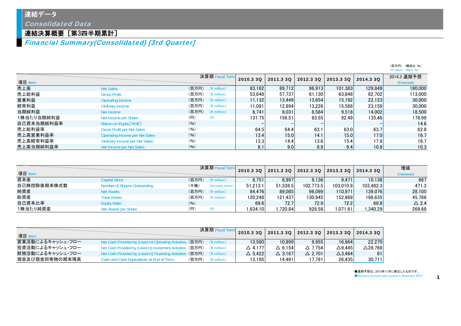### 連結データ

Consolidated Data

### 連結決算概要[第3四半期累計]

Financial Summary(Consolidated) [3rd Quarter]

|            |                                       |                                  |           |           |           |           |           | $(Y \text{ million})$ (Ratio: %) |
|------------|---------------------------------------|----------------------------------|-----------|-----------|-----------|-----------|-----------|----------------------------------|
|            |                                       | 決算期 Fiscal Term                  | 2010.3 3Q | 2011.3 30 | 2012.3 30 | 2013.3 3Q | 2014.3 3Q | 2014.3 通期予想                      |
| 項目 Item    |                                       |                                  |           |           |           |           |           | (Forecast)                       |
| 売上高        | <b>Net Sales</b>                      | $($ 百万円) $($ ¥ million)          | 83.162    | 89.712    | 96.913    | 101.383   | 129,849   | 180,000                          |
| 売上総利益      | <b>Gross Profit</b>                   | (百万円) (¥ million)                | 53.648    | 57.737    | 61.130    | 63.848    | 82.702    | 113,000                          |
| 営業利益       | <b>Operating Income</b>               | $($ 百万円 $)$ (\ $\angle$ million) | 11.132    | 13.449    | 13.654    | 15.192    | 22,123    | 30,000                           |
| 経常利益       | <b>Ordinary Income</b>                | (百万円)<br>$(*$ million)           | 11.081    | 12.894    | 13.226    | 15.568    | 23.159    | 30,000                           |
| 当期純利益      | Net Income                            | $($ 百万円) $($ ¥ million)          | 6.741     | 8.031     | 8.584     | 9.518     | 14.002    | 18,500                           |
| 1株当たり当期純利益 | Net Income per Share                  | (円)<br>$(\c{4})$                 | 131.75    | 156.51    | 83.55     | 92.49     | 135.46    | 178.99                           |
| 自己資本当期純利益率 | Return on Equity [ROE]                | (96)                             |           |           |           |           |           | 14.6                             |
| 売上総利益率     | <b>Gross Profit per Net Sales</b>     | (96)                             | 64.5      | 64.4      | 63.1      | 63.0      | 63.7      | 62.8                             |
| 売上高営業利益率   | <b>Operating Income per Net Sales</b> | (96)                             | 13.4      | 15.0      | 14.1      | 15.0      | 17.0      | 16.7                             |
| 売上高経常利益率   | <b>Ordinary Income per Net Sales</b>  | (96)                             | 13.3      | 14.4      | 13.6      | 15.4      | 17.8      | 16.7                             |
| 売上高当期純利益率  | Net Income per Net Sales              | (96)                             | 8.1       | 9.0       | 8.9       | 9.4       | 10.8      | 10.3                             |

| 項目 Item     |                              |       | 決算期 Fiscal Term          | 2010.3 3Q | 2011.3 3Q | 2012.3 30 | 2013.3 3Q | 2014.3 3Q | 増減<br>(Variance) |
|-------------|------------------------------|-------|--------------------------|-----------|-----------|-----------|-----------|-----------|------------------|
| 資本金         | Capital Stock                |       | $($ 百万円 $)$ (\; million) | 8.751     | 8.997     | 9.136     | 9.471     | 10.138    | 667              |
| 自己株控除後期末株式数 | Number of Shares Outstanding | (千株)  | (thousand shares)        | 51.213.1  | 51.338.5  | 102.773.5 | 103.010.9 | 103.482.3 | 471.3            |
| 純資産         | <b>Net Assets</b>            |       | $($ 百万円) $($ ¥ million)  | 84.476    | 89.085    | 96.099    | 110.971   | 139,076   | 28.105           |
| 総資産         | <b>Total Assets</b>          | (百万円) | $(\frac{2}{3})$ million  | 120.248   | 121.437   | 130.945   | 152.869   | 198.635   | 45.766           |
| 自己資本比率      | <b>Equity Ratio</b>          | (96)  |                          | 69.6      | 72.7      | 72.9      | 72.2      | 69.8      | $\triangle$ 2.4  |
| 1株当たり純資産    | Net Assets per Share         | (H)   |                          | 1.634.10  | .720.84   | 928.58    | 1.071.61  | .340.29   | 268.68           |

| 項目 Item          |                                                                        |       | 決算期 Fisc                | 2010.3 3Q         | 2011.3 3Q 2012.3 3Q 2013.3 3Q |                   |                   | 2014.330 |
|------------------|------------------------------------------------------------------------|-------|-------------------------|-------------------|-------------------------------|-------------------|-------------------|----------|
| 営業活動によるキャッシュ・フロー | Net Cash Provided by (Used in) Operating Activities (百万円)              |       | $(*)$ million)          | 13.560            | 10.999                        | 9.955             | 16.664            | 22.270   |
| 投資活動によるキャッシュ・フロー | Net Cash Provided by (Used in) Investment Activities (百万円) (¥ million) |       |                         | $\triangle$ 4.177 | $\triangle$ 6.154             | $\triangle$ 7.754 | $\triangle$ 9.445 | ∆28.768l |
| 財務活動によるキャッシュ・フロー | Net Cash Provided by (Used in) Financing Activities                    | (百万円) | $(\frac{2}{3})$ million | $\triangle$ 5.422 | $\triangle$ 3.167             | $\triangle$ 2.701 | $\triangle$ 3.464 | 81       |
| 現金及び現金同等物の期末残高   | Cash and Cash Equivalents at End of Term                               | (百万円) | $(*)$ million)          | 13.195            | 14.491                        | 17.791            | 26.435            | 30,711   |

●通期予想は、2013年11月に修正したものです。 ●Business forecast was revised in November 2013.

1

(百万円) (構成比:%)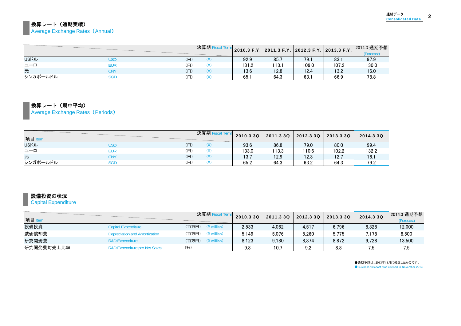#### 換算レート(通期実績) **Average Exchange Rates (Annual)**

|              |     |     | 決算期F |       |       |       | 2010.3 F.Y. 2011.3 F.Y. 2012.3 F.Y. 2013.3 F.Y. | 2014.3 通期予想<br>(Forecast) |
|--------------|-----|-----|------|-------|-------|-------|-------------------------------------------------|---------------------------|
| <b>USFJL</b> | USD | (H) | ¥)   | 92.9  | 85.7  | 79.1  | 83.                                             | 97.9                      |
| ユーロ          | eur | (円) |      | 131.2 | 113.1 | 109.0 | 107.2                                           | 130.0                     |
| 元            | CNY | (H) | (¥)  | 13.6  | 12.8  | 12.4  | 13.2                                            | 16.0                      |
| シンガポールドル     | SGD | (円) |      | 65.1  | 64.3  | 63.   | 66.9                                            | 78.8                      |

## 換算レート(期中平均)

Average Exchange Rates (Periods)

| 項目 Item      |     |     | 決算期 Fisca | 2010.3 3Q | 2011.3 3Q | 2012.3 3Q | 2013.3 3Q | 2014.3 3Q |
|--------------|-----|-----|-----------|-----------|-----------|-----------|-----------|-----------|
| <b>USFIL</b> | USD | (円) |           | 93.6      | 86.8      | 79.0      | 80.0      | 99.4      |
| ユーロ          | EUR | (円) | ′⊻′       | 133.0     | 113.3     | 110.6     | 102.2     | 132.2     |
| 元            | CNY | (円) |           | 13.7      | 12.9      | 12.3      | 12.7      | 16.1      |
| シンガポールドル     | SGD | (円) | $\lambda$ | 65.2      | 64.3      | 63.2      | 64.3      | 79.2      |

#### 設備投資の状況

#### **Capital Expenditure**

| 項目 Item    |                                          | 決算期                              | 2010.3 3Q | 2011.3 3Q | 2012.3 30 | 2013.3 3Q | 2014.3 3Q | 2014.3 通期予想<br>(Forecast) |
|------------|------------------------------------------|----------------------------------|-----------|-----------|-----------|-----------|-----------|---------------------------|
| 設備投資       | <b>Capital Expenditure</b>               | (百万円)<br>$(*)$ million           | 2,533     | 4.062     | 4,517     | 6.796     | 8,328     | 12,000                    |
| 減価償却費      | Depreciation and Amortization            | (百万円)<br>$(\frac{2}{3})$ million | 5.149     | 5.076     | 5.260     | 5.775     | 7.178     | 8,500                     |
| 研究開発費      | <b>R&amp;D Expenditure</b>               | (百万円)<br>$(*)$ million)          | 8.123     | 9.180     | 8,874     | 8,872     | 9.728     | 13,500                    |
| 研究開発費対売上比率 | <b>R&amp;D Expenditure per Net Sales</b> | (96)                             | 9.8       | 10.7      | 9.2       | 8.8       |           | 7.5                       |

●通期予想は、2013年11月に修正したものです。 **Business forecast was revised in November 2013.**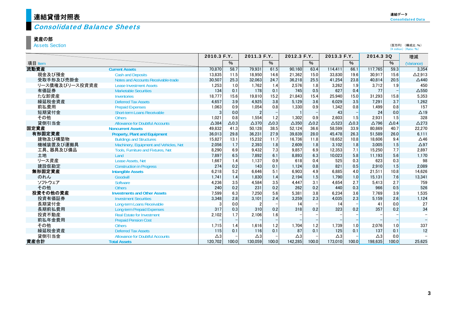## <mark>連結貸借対照表</mark>

#### Consolidated Balance Sheets

#### 資産の部

Assets Section

|                | 2010.3 F.Y.<br>2011.3 F.Y.                |                 | 2012.3 F.Y.  |                 | 2013.3 F.Y.  |                 | 2014.3 3Q    |               | 増減              |               |              |                 |
|----------------|-------------------------------------------|-----------------|--------------|-----------------|--------------|-----------------|--------------|---------------|-----------------|---------------|--------------|-----------------|
| 項目 Item        |                                           |                 | %            |                 | $\%$         |                 | %            |               | %               |               | %            | (Variance)      |
| 流動資産           | <b>Current Assets</b>                     | 70,870          | 58.7         | 79.931          | 61.5         | 90,160          | 63.4         | 114.411       | 66.1            | 117,765       | 59.3         | 3,354           |
| 現金及び預金         | <b>Cash and Deposits</b>                  | 13,835          | 11.5         | 18,950          | 14.6         | 21,362          | 15.0         | 33.830        | 19.6            | 30,917        | 15.6         | $\Delta$ 2.913  |
| 受取手形及び売掛金      | Notes and Accounts Receivable-trade       | 30,507          | 25.3         | 32.063          | 24.7         | 36,218          | 25.5         | 41.254        | 23.8            | 40.814        | 20.5         | $\triangle$ 440 |
| リース債権及びリース投資資産 | <b>Lease Investment Assets</b>            | 1,253           | 1.0          | 1.762           | 1.4          | 2,576           | 1.8          | 3,262         | 1.9             | 3.712         | 1.9          | 450             |
| 有価証券           | <b>Marketable Securities</b>              | 134             | 0.1          | 178             | 0.1          | 745             | 0.5          | 627           | 0.4             | 77            |              | $\triangle$ 550 |
| たな卸資産          | Inventories                               | 18,777          | 15.6         | 19,810          | 15.2         | 21,843          | 15.4         | 25,940        | 15.0            | 31,293        | 15.8         | 5,353           |
| 繰延税金資産         | <b>Deferred Tax Assets</b>                | 4.657           | 3.9          | 4.925           | 3.8          | 5.129           | 3.6          | 6.029         | 3.5             | 7.291         | 3.7          | 1,262           |
| 前払費用           | <b>Prepaid Expenses</b>                   | 1,063           | 0.9          | 1,054           | 0.8          | 1,330           | 0.9          | 1,342         | 0.8             | 1,499         | 0.8          | 157             |
| 短期貸付金          | <b>Short-term Loans Receivable</b>        | 3               | 0.0          |                 |              |                 |              | 43            |                 | 24            | 0.0          | $\triangle$ 19  |
| その他            | <b>Others</b>                             | 1.021           | 0.8          | 1.554           | 1.2          | 1.302           | 0.9          | 2.603         | 1.5             | 2.931         | 1.5          | 328             |
| 貸倒引当金          | <b>Allowance for Doubtful Accounts</b>    | $\triangle$ 384 | $\Delta$ 0.3 | $\triangle$ 370 | $\Delta$ 0.3 | $\triangle$ 350 | $\Delta$ 0.2 | $\Delta$ 523  | $\triangle$ 0.3 | $\Delta$ 796  | $\Delta$ 0.4 | $\triangle$ 273 |
| 固定資産           | <b>Noncurrent Assets</b>                  | 49,832          | 41.3         | 50.128          | 38.5         | 52,124          | 36.6         | 58.599        | 33.9            | 80,869        | 40.7         | 22,270          |
| 有形固定資産         | <b>Property, Plant and Equipment</b>      | 36,013          | 29.8         | 36.231          | 27.9         | 39,839          | 28.0         | 45.478        | 26.3            | 51,589        | 26.0         | 6.111           |
| 建物及び構築物        | <b>Buildings and Structures</b>           | 15,827          | 13.1         | 15,232          | 11.7         | 16,736          | 11.8         | 18.652        | 10.8            | 18.606        | 9.4          | $\triangle$ 46  |
| 機械装置及び運搬具      | Machinery, Equipment and Vehicles, Net    | 2,056           | 1.7          | 2,393           | 1.8          | 2,609           | 1.8          | 3.102         | 1.8             | 3,005         | 1.5          | $\triangle$ 97  |
| 工具、器具及び備品      | <b>Tools. Furniture and Fixtures. Net</b> | 8,290           | 6.9          | 9.432           | 7.3          | 9.857           | 6.9          | 12.353        | 7.1             | 15,250        | 7.7          | 2.897           |
| 土地             | Land                                      | 7,897           | 6.5          | 7.892           | 6.1          | 8.893           | 6.3          | 10.023        | 5.8             | 11.193        | 5.6          | 1,170           |
| リース資産          | Lease Assets, Net                         | 1,667           | 1.4          | 1.137           | 0.9          | 618             | 0.4          | 525           | 0.3             | 623           | 0.3          | 98              |
| 建設仮勘定          | <b>Construction in Progress</b>           | 274             | 0.2          | 143             | 0.1          | 1.124           | 0.8          | 821           | 0.5             | 2,910         | 1.5          | 2,089           |
| 無形固定資産         | <b>Intangible Assets</b>                  | 6.218           | 5.2          | 6.646           | 5.1          | 6.903           | 4.9          | 6.885         | 4.0             | 21.511        | 10.8         | 14.626          |
| のれん            | Goodwill                                  | 1.741           | 1.4          | 1.830           | 1.4          | 2.194           | 1.5          | 1,790         | 1.0             | 15.131        | 7.6          | 13.341          |
| ソフトウェア         | Software                                  | 4,236           | 3.5          | 4.584           | 3.5          | 4,447           | 3.1          | 4,654         | 2.7             | 5,413         | 2.7          | 759             |
| その他            | <b>Others</b>                             | 240             | 0.2          | 231             | 0.2          | 262             | 0.2          | 440           | 0.3             | 966           | 0.5          | 526             |
| 投資その他の資産       | <b>Investments and Other Assets</b>       | 7,599           | 6.3          | 7.250           | 5.6          | 5.381           | 3.8          | 6.234         | 3.6             | 7.769         | 3.9          | 1,535           |
| 投資有価証券         | <b>Investment Securities</b>              | 3,348           | 2.8          | 3.101           | 2.4          | 3,259           | 2.3          | 4,035         | 2.3             | 5,159         | 2.6          | 1,124           |
| 長期貸付金          | Long-term Loans Receivable                |                 | 0.0          |                 |              | 14              |              | 14            |                 | 41            | 0.0          | 27              |
| 長期前払費用         | <b>Long-term Prepaid Expenses</b>         | 317             | 0.3          | 310             | 0.2          | 318             | 0.2          | 323           | 0.2             | 357           | 0.2          | 34              |
| 投資不動産          | <b>Real Estate for Investment</b>         | 2,102           | 1.7          | 2.106           | 1.6          |                 |              |               |                 |               |              |                 |
| 前払年金費用         | <b>Prepaid Pension Cost</b>               |                 |              |                 |              |                 |              |               |                 |               |              |                 |
| その他            | <b>Others</b>                             | 1.715           | 1.4          | 1.616           | 1.2          | 1.704           | 1.2          | 1.739         | 1.0             | 2,076         | 1.0          | 337             |
| 繰延税金資産         | <b>Deferred Tax Assets</b>                | 115             | 0.1          | 116             | 0.1          | 87              | 0.1          | 125           | 0.1             | 137           | 0.1          | 12              |
| 貸倒引当金          | <b>Allowance for Doubtful Accounts</b>    | $\triangle 3$   |              | $\triangle 3$   |              | $\triangle 3$   |              | $\triangle 3$ |                 | $\triangle 3$ | 0.0          |                 |
| 資産合計           | <b>Total Assets</b>                       | 120.702         | 100.0        | 130.059         | 100.0        | 142.285         | 100.0        | 173.010       | 100.0           | 198.635       | 100.0        | 25,625          |

(百万円) (構成比:%)<br>(¥ million) (Ratio:%)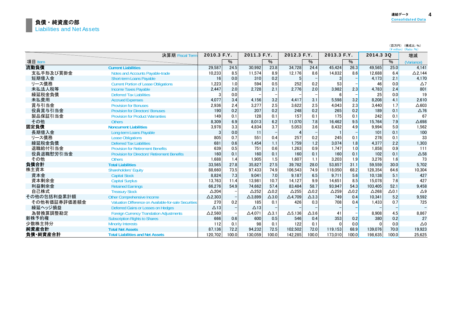(百万円) (構成比:%)

|              |                                                       |                 |       |                 |                 |                 |                 |                 |               |              |              | $(Y \text{ million})$ (Ratio: %) |  |
|--------------|-------------------------------------------------------|-----------------|-------|-----------------|-----------------|-----------------|-----------------|-----------------|---------------|--------------|--------------|----------------------------------|--|
|              | 決算期 Fiscal Term                                       | 2010.3 F.Y.     |       | 2011.3 F.Y.     |                 | 2012.3 F.Y.     |                 | 2013.3 F.Y.     |               | 2014.3 3Q    |              | 増減                               |  |
| 項目 Item      |                                                       |                 | %     |                 | $\frac{0}{6}$   |                 | %               |                 | $\frac{0}{6}$ |              | $\%$         | (Variance)                       |  |
| 流動負債         | <b>Current Liabilities</b>                            | 29,587          | 24.5  | 30,992          | 23.8            | 34.728          | 24.4            | 45.424          | 26.3          | 49,565       | 25.0         | 4.141                            |  |
| 支払手形及び買掛金    | Notes and Accounts Pavable-trade                      | 10,233          | 8.5   | 11.574          | 8.9             | 12.176          | 8.6             | 14,832          | 8.6           | 12.688       | 6.4          | $\Delta$ 2.144                   |  |
| 短期借入金        | <b>Short-term Loans Payable</b>                       | 16              | 0.0   | 310             | 0.2             | 5               |                 | 3               |               | 4.173        | 2.1          | 4.170                            |  |
| リース債務        | <b>Current Portion of Lease Obligations</b>           | 1,223           | 1.0   | 594             | 0.5             | 252             | 0.2             | 53              |               | 46           | 0.0          | $\Delta$ 7                       |  |
| 未払法人税等       | <b>Income Taxes Payable</b>                           | 2,447           | 2.0   | 2,728           | 2.1             | 2,776           | 2.0             | 3,982           | 2.3           | 4,783        | 2.4          | 801                              |  |
| 繰延税金負債       | <b>Deferred Tax Liabilities</b>                       |                 | 0.0   |                 |                 |                 |                 |                 |               | 25           | 0.0          | 19                               |  |
| 未払費用         | <b>Accrued Expenses</b>                               | 4,077           | 3.4   | 4.156           | 3.2             | 4,417           | 3.1             | 5,598           | 3.2           | 8,208        | 4.1          | 2.610                            |  |
| 賞与引当金        | <b>Provision for Bonuses</b>                          | 2,936           | 2.4   | 3.277           | 2.5             | 3.622           | 2.5             | 4.043           | 2.3           | 3,440        | 1.7          | $\triangle$ 603                  |  |
| 役員賞与引当金      | <b>Provision for Directors' Bonuses</b>               | 190             | 0.2   | 207             | 0.2             | 248             | 0.2             | 265             | 0.2           | 189          | 0.1          | $\Delta$ 76                      |  |
| 製品保証引当金      | <b>Provision for Product Warranties</b>               | 149             | 0.1   | 128             | 0.1             | 157             | 0.1             | 175             | 0.1           | 242          | 0.1          | 67                               |  |
| その他          | <b>Others</b>                                         | 8,309           | 6.9   | 8,013           | 6.2             | 11,070          | 7.8             | 16,462          | 9.5           | 15,764       | 7.9          | $\triangle$ 698                  |  |
| 固定負債         | <b>Noncurrent Liabilities</b>                         | 3,978           | 3.3   | 4,834           | 3.7             | 5.053           | 3.6             | 8,432           | 4.9           | 9,994        | 5.0          | 1,562                            |  |
| 長期借入金        | Long-term Loans Payable                               | 3               | 0.0   | 11              |                 |                 |                 |                 |               | 101          | 0.1          | 100                              |  |
| リース債務        | <b>Lease Obligations</b>                              | 805             | 0.7   | 551             | 0.4             | 257             | 0.2             | 245             | 0.1           | 278          | 0.1          | 33                               |  |
| 繰延税金負債       | <b>Deferred Tax Liabilities</b>                       | 681             | 0.6   | 1.454           | 1.1             | 1.759           | 1.2             | 3.074           | 1.8           | 4,377        | 2.2          | 1.303                            |  |
| 退職給付引当金      | <b>Provision for Retirement Benefits</b>              | 639             | 0.5   | 751             | 0.6             | 1,263           | 0.9             | 1.747           | 1.0           | 1.858        | 0.9          | 111                              |  |
| 役員退職慰労引当金    | <b>Provision for Directors' Retirement Benefits</b>   | 160             | 0.1   | 160             | 0.1             | 160             | 0.1             | 160             | 0.1           | 102          | 0.1          | $\triangle$ 58                   |  |
| その他          | <b>Others</b>                                         | 1,688           | 1.4   | 1,905           | 1.5             | 1.607           | 1.1             | 3.203           | 1.9           | 3,276        | 1.6          | 73                               |  |
| 負債合計         | <b>Total Liabilities</b>                              | 33,565          | 27.8  | 35,827          | 27.5            | 39.782          | 28.0            | 53,857          | 31.1          | 59,559       | 30.0         | 5.702                            |  |
| 株主資本         | <b>Shareholders' Equity</b>                           | 88,660          | 73.5  | 97.433          | 74.9            | 106,543         | 74.9            | 118,050         | 68.2          | 128,354      | 64.6         | 10,304                           |  |
| 資本金          | <b>Capital Stock</b>                                  | 8.824           | 7.3   | 9.041           | 7.0             | 9.187           | 6.5             | 9.711           | 5.6           | 10.138       | 5.1          | 427                              |  |
| 資本剰余金        | <b>Capital Surplus</b>                                | 13,763          | 11.4  | 13,981          | 10.7            | 14,127          | 9.9             | 14.651          | 8.5           | 15,078       | 7.6          | 427                              |  |
| 利益剰余金        | <b>Retained Earnings</b>                              | 66,276          | 54.9  | 74.662          | 57.4            | 83.484          | 58.7            | 93.947          | 54.3          | 103.405      | 52.1         | 9.458                            |  |
| 自己株式         | <b>Treasury Stock</b>                                 | $\triangle$ 204 |       | $\triangle$ 252 | $\Delta$ 0.2    | $\triangle$ 255 | $\Delta$ 0.2    | $\triangle$ 259 | $\Delta 0.2$  | $\Delta$ 268 | $\Delta$ 0.1 | $\triangle$ 9                    |  |
| その他の包括利益累計額  | Other Comprehensive Income                            | $\Delta$ 2,303  |       | $\Delta$ 3,899  | $\triangle$ 3.0 | $\Delta$ 4,709  | $\triangle$ 3.3 | 749             | 0.4           | 10.341       | 5.2          | 9.592                            |  |
| その他有価証券評価差額金 | Valuation Difference on Available-for-sale Securities | 270             | 0.2   | 185             | 0.1             | 426             | 0.3             | 708             | 0.4           | 1.433        | 0.7          | 725                              |  |
| 繰延ヘッジ損益      | Deferred Gains or Losses on Hedges                    | $\triangle$ 13  |       | $\Delta$ 13     |                 |                 |                 |                 |               |              |              |                                  |  |
| 為替換算調整勘定     | <b>Foreign Currency Translation Adjustments</b>       | $\Delta$ 2.560  |       | $\Delta$ 4.071  | $\Delta$ 3.1    | $\Delta$ 5.136  | $\Delta$ 3.6    | 41              |               | 8.908        | 4.5          | 8.867                            |  |
| 新株予約権        | <b>Subscription Rights to Shares</b>                  | 666             | 0.6   | 600             | 0.5             | 546             | 0.4             | 353             | 0.2           | 380          | 0.2          | 27                               |  |
| 少数株主持分       | <b>Minority Interests</b>                             | 112             | 0.1   | 98              | 0.1             | 122             | 0.1             | $\Omega$        | 0.0           | $\Omega$     | 0.0          | $\triangle 0$                    |  |
| 純資産合計        | <b>Total Net Assets</b>                               | 87,136          | 72.2  | 94,232          | 72.5            | 102,502         | 72.0            | 119.153         | 68.9          | 139,076      | 70.0         | 19.923                           |  |
| 負債 純資産合計     | <b>Total Liabilities and Net Assets</b>               | 120.702         | 100.0 | 130.059         | 100.0           | 142,285         | 100.0           | 173.010         | 100.0         | 198.635      | 100.0l       | 25.625                           |  |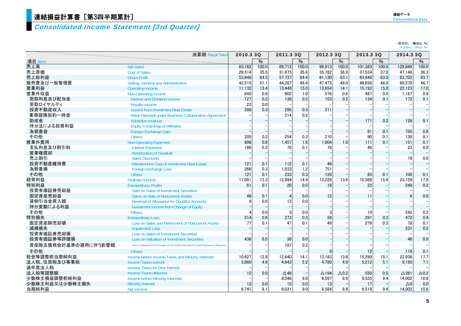## ,<br><mark>連結損益計算書[第3四半期累計]</mark>

## Consolidated Income Statement [3rd Quarter]

| 連結データ                    |  |
|--------------------------|--|
| <b>Consolidated Data</b> |  |

(百万円) (構成比:%)<br>(¥ million)(Ratio:%)

|                     | 決算期 Fiscal Term                                                                        | 2010.3 3Q    |       | 2011.3 3Q      |       | 2012.3 3Q       |                 | 2013.3 3Q |       | 2014.3 3Q    |                 |
|---------------------|----------------------------------------------------------------------------------------|--------------|-------|----------------|-------|-----------------|-----------------|-----------|-------|--------------|-----------------|
| 項目 Item             |                                                                                        |              | $\%$  |                | $\%$  |                 | $\%$            |           | $\%$  |              | $\%$            |
| 売上高                 | <b>Net Sales</b>                                                                       | 83,162       | 100.0 | 89,712         | 100.0 | 96,913          | 100.0           | 101,383   | 100.0 | 129,849      | 100.0           |
| 売上原価                | <b>Cost of Sales</b>                                                                   | 29,514       | 35.5  | 31,975         | 35.6  | 35.782          | 36.9            | 37,534    | 37.0  | 47.146       | 36.3            |
| 売上総利益               | <b>Gross Profit</b>                                                                    | 53.648       | 64.5  | 57.737         | 64.4  | 61.130          | 63.1            | 63.848    | 63.0  | 82.702       | 63.7            |
| 販売費及び一般管理費          | Selling, General and Administrative                                                    | 42,515       | 51.1  | 44,287         | 49.4  | 47,475          | 49.0            | 48,656    | 48.0  | 60,578       | 46.7            |
| 営業利益                | <b>Operating Income</b>                                                                | 11.132       | 13.4  | 13.449         | 15.0  | 13.654          | 14.1            | 15.192    | 15.0  | 22.123       | 17.0            |
| 営業外収益               | Non-Operating Income                                                                   | 645          | 0.8   | 902            | 1.0   | 576             | 0.6             | 487       | 0.5   | 1.187        | 0.9             |
| 受取利息及び配当金           | <b>Interest and Dividend Income</b>                                                    | 127          | 0.2   | 138            | 0.2   | 153             | 0.2             | 134       | 0.1   | 172          | 0.1             |
| 受取ロイヤルティ            | <b>Royalty Income</b>                                                                  | 23           | 0.0   |                |       |                 |                 |           |       |              |                 |
| 投資不動産収入             | Income from Investment Real Estate                                                     | 288          | 0.3   | 295            | 0.3   | 211             |                 |           |       |              | $\frac{1}{1}$   |
| 業務提携契約一時金           | Initial Payment under Business Collaboration Agreement                                 |              |       | 214            | 0.2   |                 |                 |           |       |              |                 |
| 助成金                 | Subsidize revenue                                                                      |              |       |                |       |                 |                 | 171       | 0.2   | 128          | 0.1             |
| 持分法による投資利益          | <b>Equity in Earnings of Affiliates</b>                                                |              |       |                |       |                 |                 |           |       |              |                 |
| 為替差益                | <b>Foreign Exchange Gain</b>                                                           |              |       |                |       |                 |                 | 91        | 0.1   | 755          | 0.6             |
| その他                 | <b>Others</b>                                                                          | 205          | 0.2   | 254            | 0.3   | 210             |                 | 90        | 0.1   | 130          | 0.1             |
| 営業外費用               | <b>Non-Operating Expenses</b>                                                          | 696          | 0.8   | 1,457          | 1.6   | 1,004           | 1.0             | 111       | 0.1   | 151          | 0.1             |
| 支払利息及び割引料           | <b>Interest Expenses</b>                                                               | 186          | 0.2   | 78             | 0.1   | 76              |                 | 46        |       | 23           | 0.0             |
| 営業権償却               | <b>Amortization of Goodwill</b>                                                        |              |       |                |       |                 |                 |           |       |              | ۳               |
| 売上割引                | <b>Sales Discounts</b>                                                                 |              |       |                |       |                 |                 |           |       | 19           | 0.0             |
| 投資不動産維持費            | Maintenance Cost of Investment Real Estate                                             | 121          | 0.1   | 112            | 0.1   | 49              |                 |           |       |              |                 |
| 為替差損                | <b>Foreign Exchange Loss</b>                                                           | 266          | 0.3   | 1,033          | 1.2   | 751             |                 |           |       |              |                 |
| その他                 | <b>Others</b>                                                                          | 121          | 0.1   | 233            | 0.3   | 126             |                 | 65        | 0.1   | 108          | 0.1             |
| 経常利益                | <b>Ordinary Income</b>                                                                 | 11,081       | 13.3  | 12,894         | 14.4  | 13,226          | 13.6            | 15,568    | 15.4  | 23.159       | 17.8            |
| 特別利益                | <b>Extraordinary Profits</b>                                                           | 61           | 0.1   | 20             | 0.0   | 16              |                 | 22        |       | 249          | 0.2             |
| 投資有価証券売却益           | <b>Gain on Sales of Investment Securities</b>                                          |              |       |                |       |                 |                 |           |       |              |                 |
| 固定資産売却益             | <b>Gains on Sale of Noncurrent Assets</b>                                              | 48           | 0.1   | $\overline{A}$ | 0.0   | 12              |                 | 11        |       |              | 0.0             |
| 貸倒引当金戻入額            | <b>Reversal of Allowance for Doubtful Accounts</b>                                     | $\mathbf{q}$ | 0.0   | 12             | 0.0   |                 |                 |           |       |              |                 |
| 持分変動による利益           | Investment Income from Change of Equity                                                |              |       |                |       |                 |                 |           |       |              | $\frac{1}{1}$   |
| その他                 | <b>Others</b>                                                                          |              | 0.0   | 3              | 0.0   | 3               |                 | 10        |       | 242          | 0.2             |
| 特別損失                | <b>Extraordinary Loss</b>                                                              | 514          | 0.6   | 273            | 0.3   | 58              |                 | 291       | 0.3   | 472          | 0.4             |
| 固定資産除売却損            | Loss on Sales and Retirement of Noncurrent Assets                                      | 77           | 0.1   | 47             | 0.1   | 49              |                 | 279       | 0.3   | 78           | 0.1             |
| 減損損失                | <b>Impairment Loss</b>                                                                 |              |       |                |       |                 |                 |           |       | 231          | 0.2             |
| 投資有価証券売却損           | <b>Loss on Sales of Investment Securities</b>                                          |              |       |                |       |                 |                 |           |       |              |                 |
| 投資有価証券等評価損          | <b>Loss on Valuation of Investment Securities</b>                                      | 436          | 0.5   | 38             | 0.0   |                 |                 |           |       | 46           | 0.0             |
| 資産除去債務会計基準の適用に伴う影響額 | Loss on Adjustment for Changes of Accounting Standard for Asset Retirement Obligations |              |       | 187            | 0.2   |                 |                 |           |       |              |                 |
| その他                 | <b>Others</b>                                                                          |              |       |                |       | 9               |                 | 12        |       | 116          | 0.1             |
| 税金等調整前当期純利益         | Income before Income Taxes and Minority Interests                                      | 10,627       | 12.8  | 12.640         | 14.1  | 13,183          | 13.6            | 15,299    | 15.1  | 22.936       | 17.7            |
| 法人税、住民税及び事業税        | <b>Income Taxes-current</b>                                                            | 3.860        | 4.6   | 4.643          | 5.2   | 4.780           | 4.9             | 5,212     | 5.1   | 9.195        | 7.1             |
| 過年度法人税              | <b>Income Taxes for Prior Periods</b>                                                  |              |       |                |       |                 |                 |           |       |              |                 |
| 法人税等調整額             | <b>Income Taxes-deferred</b>                                                           | 12           | 0.0   | $\triangle$ 48 |       | $\triangle$ 194 | $\triangle$ 0.2 | 550       | 0.5   | $\Delta$ 261 | $\triangle$ 0.2 |
| 少数株主損益調整前純利益        | <b>Income before Minority Interests</b>                                                |              |       | 8,046          | 9.0   | 8,597           | 8.9             | 9,535     | 9.4   | 14,002       | 10.8            |
| 少数株主利益又は少数株主損失      | <b>Minority Interest</b>                                                               | 12           | 0.0   | 15             | 0.0   | 13              |                 | 17        |       | $\Delta 0$   | 0.0             |
| 当期純利益               | Net Income                                                                             | 6.741        | 8.1   | 8.031          | 9.0   | 8.584           | 8.9             | 9.518     | 9.4   | 14,002       | 10.8            |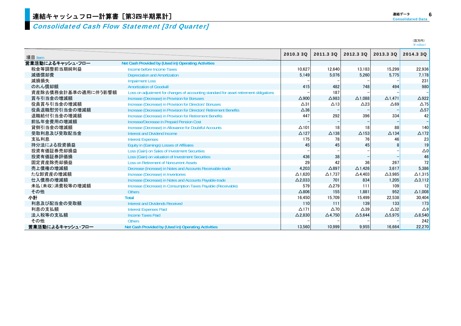## Consolidated Cash Flow Statement [3rd Quarter]

| 連結データ                    | ć |
|--------------------------|---|
| <b>Consolidated Data</b> |   |

|                     |                                                                                        |                 |                 |                   |                   | (百万円)<br>$(Y$ million) |
|---------------------|----------------------------------------------------------------------------------------|-----------------|-----------------|-------------------|-------------------|------------------------|
|                     |                                                                                        | 2010.3 3Q       | 2011.3 3Q       | 2012.3 30         | 2013.3 3Q         | 2014.3 3Q              |
| 項目 Item             |                                                                                        |                 |                 |                   |                   |                        |
| 営業活動によるキャッシュ・フロー    | Net Cash Provided by (Used in) Operating Activities                                    |                 |                 |                   |                   |                        |
| 税金等調整前当期純利益         | Income before Income Taxes                                                             | 10.627          | 12.640          | 13,183            | 15.299            | 22,936                 |
| 減価償却費               | <b>Depreciation and Amortization</b>                                                   | 5.149           | 5,076           | 5,260             | 5.775             | 7,178                  |
| 減損損失                | <b>Impairment Loss</b>                                                                 |                 |                 |                   |                   | 231                    |
| のれん償却額              | <b>Amortization of Goodwill</b>                                                        | 415             | 482             | 748               | 494               | 980                    |
| 資産除去債務会計基準の適用に伴う影響額 | Loss on adjustment for changes of accounting standard for asset retirement obligations |                 | 187             |                   |                   |                        |
| 賞与引当金の増減額           | Increase (Decrease) in Provision for Bonuses                                           | $\Delta$ 900    | $\triangle$ 983 | $\Delta$ 1,088    | $\triangle$ 1.471 | $\triangle$ 922        |
| 役員賞与引当金の増減額         | Increase (Decrease) in Provision for Directors' Bonuses                                | $\Delta$ 31     | $\triangle$ 13  | $\triangle$ 23    | $\triangle 69$    | $\Delta$ 75            |
| 役員退職慰労引当金の増減額       | Increase (Decrease) in Provision for Directors' Retirement Benefits                    | $\triangle 36$  |                 |                   |                   | $\Delta$ 57            |
| 退職給付引当金の増減額         | Increase (Decrease) in Provision for Retirement Benefits                               | 447             | 292             | 396               | 334               | 42                     |
| 前払年金費用の増減額          | Increase/Decrease in Prepaid Pension Cost                                              |                 |                 |                   |                   |                        |
| 貸倒引当金の増減額           | Increase (Decrease) in Allowance for Doubtful Accounts                                 | $\Delta$ 101    | 18              | 18                | 88                | 140                    |
| 受取利息及び受取配当金         | <b>Interest and Dividend Income</b>                                                    | $\Delta$ 127    | $\Delta$ 138    | $\Delta$ 153      | $\triangle$ 134   | $\triangle$ 172        |
| 支払利息                | <b>Interest Expenses</b>                                                               | 175             | 78              | 76                | 46                | 23                     |
| 持分法による投資損益          | Equity in (Earnings) Losses of Affiliates                                              | 45              | 45              | 45                |                   | 19                     |
| 投資有価証券売却損益          | Loss (Gain) on Sales of Investment Securities                                          |                 |                 |                   |                   | $\Delta 0$             |
| 投資有価証券評価損           | Loss (Gain) on valuation of Investment Securities                                      | 436             | 38              |                   |                   | 46                     |
| 固定資産除売却損益           | <b>Loss on Retirement of Noncurrent Assets</b>                                         | 29              | 42              | 36                | 267               | 72                     |
| 売上債権の増減額            | Decrease (Increase) in Notes and Accounts Receivable-trade                             | 4.203           | $\triangle$ 897 | $\triangle$ 1.426 | 3.617             | 5,386                  |
| たな卸資産の増減額           | Increase (Decrease) in Inventories                                                     | $\Delta$ 1.620  | $\Delta$ 1.737  | $\triangle$ 4,403 | $\triangle$ 3.985 | $\Delta$ 1,315         |
| 仕入債務の増減額            | Increase (Decrease) in Notes and Accounts Payable-trade                                | $\Delta$ 2,033  | 701             | 834               | 1,205             | $\Delta$ 3,112         |
| 未払(未収)消費税等の増減額      | Increase (Decrease) in Consumption Taxes Payable (Receivable)                          | 579             | $\triangle$ 279 | 111               | 109               |                        |
| その他                 | <b>Others</b>                                                                          | $\triangle$ 806 | 155             | 1,881             | 952               | $\Delta$ 1,008         |
| 小計                  | <b>Total</b>                                                                           | 16,450          | 15,709          | 15,499            | 22,538            | 30,404                 |
| 利息及び配当金の受取額         | Interest and Dividends Received                                                        | 110             | 111             | 139               | 133               | 173                    |
| 利息の支払額              | <b>Interest Expenses Paid</b>                                                          | $\Delta$ 171    | $\triangle$ 70  | $\triangle 39$    | $\triangle 32$    | $\triangle$ 9          |
| 法人税等の支払額            | <b>Income Taxes Paid</b>                                                               | $\Delta$ 2,830  | $\Delta$ 4,750  | $\Delta$ 5,644    | $\triangle$ 5,975 | $\triangle$ 8,540      |
| その他                 | <b>Others</b>                                                                          |                 |                 |                   |                   | 242                    |
| 営業活動によるキャッシュ・フロー    | Net Cash Provided by (Used in) Operating Activities                                    | 13.560          | 10.999          | 9.955             | 16.664            | 22,270                 |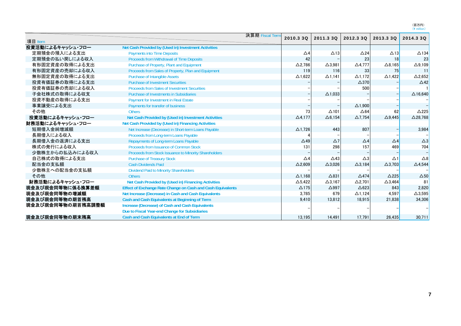(百万円)<br>(¥ million)

|                   |                                                             | 決算期 Fiscal Term |                |                 |                 |                   |                    |
|-------------------|-------------------------------------------------------------|-----------------|----------------|-----------------|-----------------|-------------------|--------------------|
| 項目 Item           |                                                             |                 | 2010.3 3Q      | 2011.3 3Q       | 2012.3 3Q       | 2013.3 3Q         | 2014.3 3Q          |
| 投資活動によるキャッシュ・フロー  | Net Cash Provided by (Used in) Investment Activities        |                 |                |                 |                 |                   |                    |
| 定期預金の預入による支出      | <b>Payments into Time Deposits</b>                          |                 | $\triangle$ 4  | $\Delta$ 13     | $\triangle$ 24  | $\triangle$ 13    | $\triangle$ 134    |
| 定期預金の払い戻しによる収入    | Proceeds from Withdrawal of Time Deposits                   |                 | 42             |                 | 23              | 18                | 23                 |
| 有形固定資産の取得による支出    | Purchase of Property, Plant and Equipment                   |                 | $\Delta$ 2,786 | $\Delta$ 3,981  | $\Delta$ 4,777  | $\Delta$ 8,165    | $\Delta$ 9,109     |
| 有形固定資産の売却による収入    | Proceeds from Sales of Property, Plan and Equipment         |                 | 119            | 116             | 33              | 75                | 11                 |
| 無形固定資産の取得による支出    | <b>Purchase of Intangible Assets</b>                        |                 | $\Delta$ 1,622 | $\Delta$ 1,141  | $\Delta$ 1,172  | $\triangle$ 1,422 | $\Delta$ 2,652     |
| 投資有価証券の取得による支出    | <b>Purchase of Investment Securities</b>                    |                 |                |                 | $\triangle$ 370 |                   | $\triangle$ 42     |
| 投資有価証券の売却による収入    | <b>Proceeds from Sales of Investment Securities</b>         |                 |                |                 | 500             |                   |                    |
| 子会社株式の取得による収支     | <b>Purchase of Investments in Subsidiaries</b>              |                 |                | $\Delta$ 1.033  |                 |                   | $\triangle$ 16.640 |
| 投資不動産の取得による支出     | Payment for Investment in Real Estate                       |                 |                |                 |                 |                   |                    |
| 事業譲受による支出         | Payments for transfer of business                           |                 |                |                 | $\Delta$ 1,900  |                   |                    |
| その他               | <b>Others</b>                                               |                 | 73             | $\Delta$ 101    | $\triangle$ 64  | 62                | $\triangle$ 225    |
| 投資活動によるキャッシュ・フロー  | Net Cash Provided by (Used in) Investment Activities        |                 | $\Delta$ 4,177 | $\Delta$ 6,154  | $\Delta$ 7,754  | $\triangle$ 9.445 | $\Delta$ 28,768    |
| 財務活動によるキャッシュ・フロー  | Net Cash Provided by (Used in) Financing Activities         |                 |                |                 |                 |                   |                    |
| 短期借入金純増減額         | Net Increase (Decrease) in Short-term Loans Payable         |                 | $\Delta$ 1,726 | 443             | 807             |                   | 3,984              |
| 長期借入による収入         | Proceeds from Long-term Loans Payable                       |                 |                |                 |                 |                   |                    |
| 長期借入金の返済による支出     | Repayments of Long-term Loans Payable                       |                 | $\triangle$ 49 | $\Delta$ 7      | $\triangle$ 4   | $\triangle 4$     | $\triangle 3$      |
| 株式の発行による収入        | Proceeds from Issuance of Common Stock                      |                 | 131            | 298             | 157             | 469               | 704                |
| 少数株主からの払込みによる収入   | Proceeds from Stock Issuance to Minority Shareholders       |                 |                |                 |                 |                   |                    |
| 自己株式の取得による支出      | <b>Purchase of Treasury Stock</b>                           |                 | $\Delta 4$     | $\triangle$ 43  | $\Delta$ 3      | $\Delta$ 1        | $\triangle 8$      |
| 配当金の支払額           | <b>Cash Dividends Paid</b>                                  |                 | $\Delta$ 2,609 | $\Delta$ 3,026  | $\Delta$ 3,184  | $\Delta$ 3,703    | $\triangle$ 4,544  |
| 少数株主への配当金の支払額     | <b>Dividend Paid to Minority Shareholders</b>               |                 |                |                 |                 |                   |                    |
| その他               | <b>Others</b>                                               |                 | $\Delta$ 1.168 | $\triangle$ 831 | $\triangle$ 474 | $\triangle$ 225   | $\Delta$ 50        |
| 財務活動によるキャッシュ・フロー  | Net Cash Provided by (Used in) Financing Activities         |                 | $\Delta$ 5,422 | $\Delta$ 3,167  | $\Delta$ 2,701  | $\Delta$ 3,464    | 81                 |
| 現金及び現金同等物に係る換算差額  | Effect of Exchange Rate Change on Cash and Cash Equivalents |                 | $\Delta$ 175   | $\triangle$ 997 | $\triangle 623$ | 843               | 2.820              |
| 現金及び現金同等物の増減額     | Net Increase (Decrease) in Cash and Cash Equivalents        |                 | 3,785          | 679             | $\Delta$ 1.124  | 4.597             | $\Delta$ 3,595     |
| 現金及び現金同等物の期首残高    | Cash and Cash Equivalents at Beginning of Term              |                 | 9.410          | 13,812          | 18,915          | 21,838            | 34,306             |
| 現金及び現金同等物の期首残高調整額 | Increase (Decrease) of Cash and Cash Equivalents            |                 |                |                 |                 |                   |                    |
|                   | Due to Fiscal Year-end Change for Subsidiaries              |                 |                |                 |                 |                   |                    |
| 現金及び現金同等物の期末残高    | <b>Cash and Cash Equivalents at End of Term</b>             |                 | 13.195         | 14.491          | 17.791          | 26.435            | 30.711             |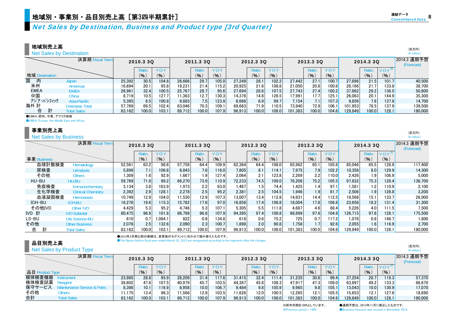Net Sales by Destination, Business and Product type [3rd Quarter]

#### 地域別売上高

Net Sales by Destination

|                | 決算期 Fiscal Term    |        | 2010.3 3Q |       |        | 2011.3 3Q        |        |        | 2012.3 3Q |            |         | 2013.3 3Q |                    |         | 2014.3 3Q        |        | 2014.3 通期予想<br>(Forecast) |
|----------------|--------------------|--------|-----------|-------|--------|------------------|--------|--------|-----------|------------|---------|-----------|--------------------|---------|------------------|--------|---------------------------|
|                |                    |        | Ratio     | YOY   |        | Ratio            | YOY    |        | Ratio     | <b>YOY</b> |         | Rati      | YOY                |         | Ratio            | $YOY*$ |                           |
| 地域 Destination |                    |        | (% )      | (9)   |        | (%)              | (% )   |        | (% )      | (9)        |         | (%)       | (%)                |         | (9)              | (% )   |                           |
| 国<br>内         | Japan              | 25,392 | 30.5      | 104.8 | 26.666 | 29.7             | 105.0  | 27.249 | 28.1      | 102.2      | 27.442  | 27.1      | 100.7              | 27.896  | 21.5             | 101.7  | 40.500                    |
| 米州             | Americas           | 16,694 | 20.1      | 95.8  | 9.231  | 21.4             | 115.2  | 20.925 | 21.6      | 108.8      | 21.050  | 20.8      | 100.6 <sub>h</sub> | 28.166  | 21.7             | 133.8  | 38,700                    |
| <b>EMEA</b>    | EMEA               | 26,961 | 32.4      | 100.5 | 25.767 | 28.7             | 95.6   | 27.694 | 28.6      | 107.5      | 27.743  | 27.4      | 100.2              | 37,862  | 29.2             | 136.5  | 50.800                    |
| 中国             | China              | 8,719  | 10.5      | 127.7 | 1,363  | 12.7             | 130.3  | 14.376 | 14.8      | 126.5      | 17,991  | 17.7      | 125.1              | 26,063  | 20.1             | 144.9  | 35,300                    |
| アジア・パシフィック     | Asia-Pacific       | 5.395  | 6.5       | 100.8 | 6.683  | 7.5 <sub>1</sub> | 123.91 | 6.666  | 6.9       | 99.7       | 7.154   |           | 107.3              | 9.859   | 7.6 <sub>1</sub> | 137.8  | 14.700                    |
| 海外 計           | Overseas Total     | 57.769 | 69.5      | 102.4 | 63.046 | 70.3             | 109.1  | 69.663 | 71.9      | 10.5       | 73.940  | 72.9      | 106.               | 101.953 | 78.5             | 137.9  | 139.500                   |
| 合              | <b>Total Sales</b> | 83.162 | 100.0     | 103.1 | 89.712 | 100.0            | 107.9  | 96.913 | 100.0     | 108.0      | 101.383 | 100.0     | 104.6              | 129.849 | 100.0            | 128.1  | 180,000                   |

●EMEA:欧州、中東、アフリカ地域

**OEMEA: Europe, the Middle East and Africa** 

#### 事業別売上高

#### **Net Sales by Business**

|             | 決算期 Fiscal Term           |        | 2010.3 3Q          |            | 2011.3 3Q |                  |       |        | 2012.3 3Q        |            |         | 2013.3 3Q        |       |         | 2014.3 30 |                  | 2014.3 通期予想<br>(Forecast) |
|-------------|---------------------------|--------|--------------------|------------|-----------|------------------|-------|--------|------------------|------------|---------|------------------|-------|---------|-----------|------------------|---------------------------|
|             |                           |        | Ratio              | <b>YOY</b> |           | Ratio            | YOY   |        | Ratio            | <b>YOY</b> |         | Ratio            | YOY   |         | Ratio     | YOY <sup>*</sup> |                           |
| 事業 Business |                           |        | (9)                | (9)        |           | (9)              | (96)  |        | (9)              | (% )       |         | (%)              | (%)   |         | (%)       | (%)              |                           |
| 血球計数検査      | Hematology                | 52,561 | 63.2               | 98.6       | 57,758    | 64.4             | 109.9 | 62,364 | 64.4             | 108.0      | 65,962  | 65.1             | 105.8 | 85.046  | 65.5      | 128.9            | 117,400                   |
| 尿検査         | <b>Urinalysis</b>         | 5.898  | 7.1                | 106.6      | 6.843     | 7.6              | 116.0 | 7.805  | 8.1              | 114.1      | 7,975   | 7.9              | 102.2 | 10.358  | 8.0       | 129.9            | 14,300                    |
| その他         | <b>Others</b>             | 1.309  | 1.6                | 92.9       | 1.667     | 1.9 <sub>l</sub> | 127.4 | 2.064  | 2.1              | 123.8      | 2,269   | 2.2              | 110.0 | 2.426   | 1.9       | 106.9            | 5.000                     |
| HU-BU       | HU-BU                     | 59.769 | 71.9               | 99.2       | 66,270    | 73.9             | 110.9 | 72,233 | 74.5             | 109.0      | 76,208  | 75.2             | 105.5 | 97.832  | 75.3      | 128.4            | 136,700                   |
| 免疫検査        | <b>Immunochemistry</b>    | 3.134  | 3.8                | 163.9      | 1,973     | 2.2              | 63.0  | 1,467  | 1.5 <sub>1</sub> | 74.4       | 1,425   | 1.4              | 97.1  | 1.581   | 1.2       | 110.9            | 2,100                     |
| 生化学検査       | <b>Clinical Chemistry</b> | 2.392  | 2.9                | 128.1      | 2.278     | 2.5              | 95.2  | 2.381  | 2.5 <sub>1</sub> | 104.5      | 1.946   | 1.9              | 81.7  | 2.506   | 1.9       | 128.8            | 3,200                     |
| 血液凝固検査      | <b>Hemostasis</b>         | 10.749 | 12.9               | 104.0      | 11.530    | 12.9             | 107.3 | 13.007 | 13.4             | 112.8      | 14.631  | 14.4             | 112.5 | 19.568  | 15.1      | 133.7            | 26,000                    |
| ICH-BU      | <b>ICH-BU</b>             | 16.276 | 19.6               | 115.3      | 15.782    | 17.6             | 97.0  | 16.856 | 17.4             | 106.8      | 18.004  | 17.8             | 106.8 | 23,656  | 18.2      | 131.4            | 31,300                    |
| その他IVD      | <b>Other IVD</b>          | 4.429  | 5.3                | 95.2       | 4,746     | 5.3              | 107.1 | 5.305  | 5.5              | 111.8      | 4,687   | 4.6              | 88.4  | 5,226   | 4.0       | 111.5            | 7,500                     |
| IVD 計       | <b>IVD Subtotal</b>       | 80.475 | 96.8               | 101.8      | 86.799    | 96.8             | 107.9 | 94,395 | 97.4             | 108.8      | 98.899  | 97.6             | 104.8 | 126.715 | 97.6      | 128.1            | 175,500                   |
| LS-BU       | Life Science-BU           | 610    | 0.7                | .084.1     | 822       | 0.9              | 134.8 | 618    | 0.6              | 75.2       | 725     | 0.7              | 117.2 | 1.078   | 0.8       | 148.7            | 1.800                     |
| その他         | <b>Other Business</b>     | 2.076  | 2.5                | 132.6      | 2.090     | 2.3              | 100.7 | 1.898  | 2.0              | 90.8       | 1.758   | 1.7 <sub>1</sub> | 92.6  | 2.055   | 1.6       | 116.9            | 2,700                     |
| 計<br>合      | <b>Total Sales</b>        | 83.162 | 100.0 <sub>1</sub> | 103.1      | 89,712    | 100.0            | 107.9 | 96,913 | 100.0            | 108.0      | 101,383 | 100.0            | 104.6 | 129.849 | 100.0     | 128.1            | 180,000                   |

#### 品目別売上高

●2013年3月期以前の実績は、変更後のセグメントに合わせて組み替えたものです。

●The figures before fiscal year ended March 31, 2013 are reorganized according to the segments after the changes.

#### **Net Sales by Product Type**

|                 | 決算期 Fiscal Term        | 2010.3 3Q |       |                    |        | 2011.3 3Q |         |        | 2012.3 3Q |            |         | 2013.3 3Q     |       |         | 2014.3 3Q |       | 2014.3 通期予想<br>(Forecast) |
|-----------------|------------------------|-----------|-------|--------------------|--------|-----------|---------|--------|-----------|------------|---------|---------------|-------|---------|-----------|-------|---------------------------|
|                 |                        |           | Ratio |                    |        | Ratio     | $'$ O Y |        | Ratio     | <b>YOY</b> |         |               | YOY   |         | Ratio     |       |                           |
| 品目 Product Type |                        |           | (% )  | (9)                |        | (%)       | (9)     |        | (9)       | (% )       |         | $\frac{9}{6}$ | (%)   |         | (96)      | (9)   |                           |
| 検体検査機器          | าstrument              | 23.985    | 28.8  | 95.9               | 28.209 | 31.4      | 117.6   | 31.415 | 32.4      | 111.4      | 31.235  | 30.8          | 99.4  | 37,254  | 28.7      | 119.3 | 57,370                    |
| 検体検査試薬          |                        | 39.602    | 47.6  | 107.5 <sub>1</sub> | 40.979 | 45.7      | 103.5   | 44.387 | 45.8      | 108.3      | 47.917  | 47.3          | 108.0 | 63.897  | 49.2      | 133.3 | 86.670                    |
| 保守サービス          | enance Service & Parts | 8.398     | 10.1  | 116.9              | 8.958  | 10.0      | 106.7   | 9.484  | 9.8       | 105.9      | 9.965   | 9.8           | 105.  | 13.043  | 10.0      | 130.9 | 17.070                    |
| その他             | Others                 | 1.175     | 13.4  | 96.3               | 1.566  | 12.9      | 103.5   | 1.626  | 12.0      | 100.5      | 12.265  | 12.1          | 105.5 | 5.653   | 12.1      | 127.6 | 18.890                    |
| 合計              | <b>Total Sales</b>     | 83.162    | 100.0 | 103.1              | 89.712 | 100.0     | 107.9   | 96.913 | 00.0      | 108.0      | 101.383 | 100.0         | 104.6 | 129.849 | 100.0     | 128.1 | 180,000                   |

(\ million)

(百万円) (\ million)

※前年同期を100%としています。 ●通期予想は、2013年11月に修正したものです。  $\&$  Previous period = 100% <br>  $\bullet$  Business forecast was revised in November 2013.

#### (百万円) $(\frac{1}{2})$  million)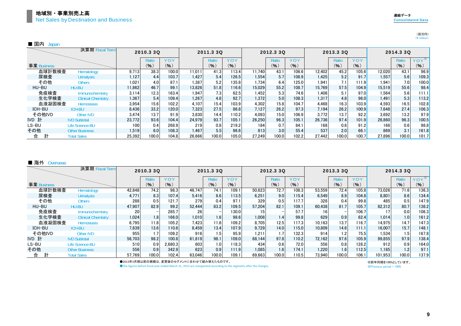#### (百万円) $(\frac{1}{2})$  million)

| 国内 | usoan |
|----|-------|
|----|-------|

|             | 決算期 Fiscal Term           |        | 2010.3 3Q |            |        | 2011.3 3Q |           |        | 2012.3 3Q |            |        | 2013.3 3Q |       |        | 2014.3 3Q |       |
|-------------|---------------------------|--------|-----------|------------|--------|-----------|-----------|--------|-----------|------------|--------|-----------|-------|--------|-----------|-------|
|             |                           |        | Ratio     | <b>YOY</b> |        | Ratio     | YOY       |        | Ratio     | <b>YOY</b> |        | Ratio     | YOY   |        | Ratio     | YOY   |
| 事業 Business |                           |        | (%)       | (% )       |        | (9)       | $($ % $)$ |        | (%)       | (9)        |        | (9)       | (9)   |        | (9)       | (96)  |
| 血球計数検査      | Hematology                | 9.713  | 38.3      | 100.0      | 11.011 | 41.3      | 113.4     | 11.740 | 43.1      | 106.6      | 12.402 | 45.2      | 105.6 | 12.020 | 43.1      | 96.9  |
| 尿検査         | <b>Urinalysis</b>         | 1.127  | 4.4       | 103.7      | 1.427  | 5.4       | 126.5     | 1.554  | 5.7       | 108.9      | 1.425  | 5.2       | 91.7  | 1.557  | 5.6       | 109.3 |
| その他         | <b>Others</b>             | 1.021  | 4.0       | 87.1       | 1.387  | 5.2       | 135.8     | 1.734  | 6.4       | 125.0      | 1.941  | 7.1       | 111.9 | 1.941  | 7.0       | 100.0 |
| HU-BU       | <b>HU-BU</b>              | 11,862 | 46.7      | 99.1       | 13.826 | 51.8      | 116.6     | 15,029 | 55.2      | 108.7      | 15.769 | 57.5      | 104.9 | 15,519 | 55.6      | 98.4  |
| 免疫検査        | Immunochemistry           | 3.114  | 12.3      | 163.4      | 1.947  | 7.3       | 62.5      | 1.452  | 5.3       | 74.6       | 1.408  | 5.1       | 97.0  | 1.564  | 5.6       | 111.1 |
| 生化学検査       | <b>Clinical Chemistry</b> | 1,367  | 5.4       | 109.4      | 1.267  | 4.8       | 92.7      | 1,372  | 5.0       | 108.3      | 1.317  | 4.8       | 96.0  | 1.491  | 5.3       | 113.2 |
| 血液凝固検査      | <b>Hemostasis</b>         | 3.954  | 15.6      | 102.2      | 4.107  | 15.4      | 103.9     | 4,302  | 15.8      | 104.7      | 4.468  | 16.3      | 103.9 | 4.593  | 16.5      | 102.8 |
| ICH-BU      | <b>ICH-BU</b>             | 8.436  | 33.2      | 120.0      | 7.323  | 27.5      | 86.8      | 7.127  | 26.2      | 97.3       | 7.194  | 26.2      | 100.9 | 7.648  | 27.4      | 106.3 |
| その他IVD      | <b>Other IVD</b>          | 3.474  | 13.7      | 91.9       | 3.830  | 14.4      | 110.2     | 4,093  | 15.0      | 106.9      | 3.772  | 13.7      | 92.2  | 3.692  | 13.2      | 97.9  |
| IVD 計       | <b>IVD Subtotal</b>       | 23.772 | 93.6      | 104.4      | 24.979 | 93.7      | 105.1     | 26,250 | 96.3      | 105.1      | 26,736 | 97.4      | 101.9 | 26,860 | 96.3      | 100.5 |
| LS-BU       | Life Science-BU           | 100    | 0.4       | 268.9      | 219    | 0.8       | 219.2     | 184    | 0.7       | 84.1       | 168    | 0.6       | 91.2  | 166    | 0.6       | 98.8  |
| その他         | <b>Other Business</b>     | 1.519  | 6.0       | 108.3      | 1.467  | 5.5       | 96.6      | 813    | 3.0       | 55.4       | 537    | 2.01      | 66.1  | 869    | 3.1       | 161.8 |
| 合           | <b>Total Sales</b>        | 25,392 | 100.0     | 104.8      | 26.666 | 100.0     | 105.0     | 27.249 | 100.0     | 102.2      | 27.442 | 100.0     | 100.7 | 27,896 | 100.0     | 101.7 |

#### ■ 海外 Overseas

|             | 決算期 Fiscal Term           |                 | 2010.3 3Q                |           |        | 2011.3 3Q |       |        | 2012.3 3Q |       |        | 2013.3 3Q |       |         | 2014.3 3Q |       |
|-------------|---------------------------|-----------------|--------------------------|-----------|--------|-----------|-------|--------|-----------|-------|--------|-----------|-------|---------|-----------|-------|
|             |                           |                 | Ratic                    | YOY       |        | Ratio     | YOY   |        | Ratio     | YOY   |        | Ratio     | YOY   |         | Ratio     | YOY   |
| 事業 Business |                           |                 | (%)                      | $($ % $)$ |        | (%)       | (%)   |        | (9)       | (%)   |        | (9)       | (%)   |         | (9)       | (%)   |
| 血球計数検査      | Hematology                | 42.848          | 74.2                     | 98.3      | 46.747 | 74.1      | 109.1 | 50.623 | 72.7      | 108.3 | 53.559 | 72.4      | 105.8 | 73.026  | 71.6      | 136.3 |
| 尿検査         | <b>Urinalysis</b>         | 4,771           | 8.3                      | 107.4     | 5.416  | 8.6       | 113.5 | 6.251  | 9.0       | 115.4 | 6.549  | 8.9       | 104.8 | 8,801   | 8.6       | 134.4 |
| その他         | <b>Others</b>             | 288             | 0.5                      | 121.7     | 279    | 0.4       | 97.1  | 329    | 0.5       | 117.7 | 328    | 0.4       | 99.8  | 485     | 0.5       | 147.9 |
| HU-BU       | HU-BU                     | 47.907          | 82.9                     | 99.2      | 52.444 | 83.2      | 109.5 | 57.204 | 82.1      | 109.1 | 60.438 | 81.7      | 105.7 | 82.312  | 80.7      | 136.2 |
| 免疫検査        | <b>Immunochemistry</b>    | 20 <sub>l</sub> | $\overline{\phantom{0}}$ | 285.7     | 26     |           | 130.0 |        |           | 57.7  | 16     |           | 106.7 |         | 0.0       | 106.3 |
| 生化学検査       | <b>Clinical Chemistry</b> | 1,024           | 1.8                      | 166.0     | 1.010  | 1.6       | 98.6  | 1,008  | 1.4       | 99.8  | 629    | 0.9       | 62.4  | 1,014   | 1.0       | 161.2 |
| 血液凝固検査      | <b>Hemostasis</b>         | 6.795           | 11.8                     | 105.2     | 7,423  | 11.8      | 109.2 | 8.705  | 12.5      | 117.3 | 10.163 | 13.7      | 116.7 | 14.975  | 14.7      | 147.3 |
| ICH-BU      | <b>ICH-BU</b>             | 7.839           | 13.6                     | 110.6     | 8.459  | 13.4      | 107.9 | 9.729  | 14.0      | 115.0 | 10.809 | 14.6      | 111.1 | 16.007  | 15.7      | 148.1 |
| その他IVD      | <b>Other IVD</b>          | 955             | 1.7                      | 109.2     | 916    | 1.5       | 95.9  | 1.211  | 1.7       | 132.3 | 914    | 1.2       | 75.5  | 1,534   | 1.5       | 167.8 |
| IVD 計       | <b>IVD Subtotal</b>       | 56.703          | 98.2                     | 100.8     | 61.819 | 98.1      | 109.0 | 68.144 | 97.8      | 110.2 | 72.162 | 97.6      | 105.9 | 99.855  | 97.9      | 138.4 |
| LS-BU       | <b>Life Science-BU</b>    | 510             | 0.9                      | 2.680.3   | 603    | 1.0       | 118.3 | 434    | 0.6       | 72.0  | 556    | 0.81      | 128.2 | 912     | 0.9       | 164.0 |
| その他         | <b>Other Business</b>     | 556             | 0.9                      | 342.9     | 623    | 0.9       | 111.9 | 1.085  | 1.6       | 174.1 | 1.220  | 1.6       | 112.5 | 1.185   | 1.2       | 97.1  |
| 合           | <b>Total Sales</b>        | 57.769          | 100.0                    | 102.4     | 63.046 | 100.0     | 109.1 | 69.663 | 100.0     | 110.5 | 73.940 | 100.01    | 106.1 | 101.953 | 100.0     | 137.9 |

●2013年3月期以前の実績は、変更後のセグメントに合わせて組み替えたものです。

**The figures before fiscal year ended March 31, 2013 are reorganized according to the segments after the changes.** 

※Previous period = 100% ※前年同期を100%としています。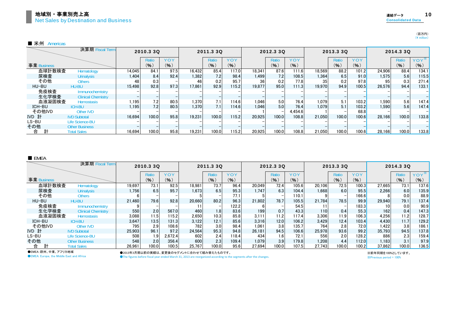|             | 決算期 Fiscal Term           |        | 2010.3 3Q |      |        | 2011.3 3Q |       |        | 2012.3 3Q    |         |        | 2013.3 3Q |       |        | 2014.3 3Q |       |
|-------------|---------------------------|--------|-----------|------|--------|-----------|-------|--------|--------------|---------|--------|-----------|-------|--------|-----------|-------|
|             |                           |        | Ratio     | YOY  |        | Ratio     | YOY   |        | <b>Ratio</b> | YOY     |        | Ratio     | YOY   |        | Ratio     | YOY   |
| 事業 Business |                           |        | (96)      | (%)  |        | (9)       | (%)   |        | (9)          | (9)     |        | (%)       | (%)   |        | (%)       | (9)   |
| 血球計数検査      | Hematology                | 14.045 | 84.1      | 97.5 | 16.432 | 85.4      | 117.0 | 18,341 | 87.6         | 111.6   | 18.569 | 88.2      | 101.2 | 24.906 | 88.4      | 134.1 |
| 尿検査         | <b>Urinalysis</b>         | 1.404  | 8.4       | 92.4 | 1.382  | 7.2       | 98.4  | 1.499  | 7.21         | 108.5   | 1.364  | 6.5       | 91.0  | 1.575  | 5.6       | 115.5 |
| その他         | Others                    | 48     | 0.3       |      |        | 0.2       | 95.7  | 36     | 0.2          | 77.8    | 35     | 0.2       | 97.8  | 95     | 0.3       | 271.4 |
| HU-BU       | <b>HU-BU</b>              | 15.498 | 92.8      | 97.3 | 17,861 | 92.9      | 115.2 | 19.877 | 95.0         | 111.3   | 19.970 | 94.9      | 100.5 | 26.576 | 94.4      | 133.1 |
| 免疫検査        | <b>Immunochemistry</b>    |        |           |      |        |           |       |        |              |         |        |           |       |        |           |       |
| 生化学検査       | <b>Clinical Chemistry</b> |        |           |      |        |           |       |        |              |         |        |           |       |        |           |       |
| 血液凝固検査      | <b>Hemostasis</b>         | 1.195  | 7.2       | 80.5 | 1,370  | 7.1       | 114.6 | 1,046  | 5.0          | 76.4    | 1.079  | 5.1       | 103.2 | 1,590  | 5.6       | 147.4 |
| ICH-BU      | <b>ICH-BU</b>             | .195   | 7.2       | 80.5 | 1,370  | 7.1       | 114.6 | 1.046  | 5.0          | 76.4    | 1.079  | 5.1       | 103.2 | 1.590  | 5.6       | 147.4 |
| その他IVD      | Other IVD                 |        |           |      |        |           |       |        |              | 4.454.6 |        |           | 68.8  |        |           |       |
| IVD 計       | <b>IVD Subtotal</b>       | 16.694 | 100.0     | 95.8 | 19.231 | 100.0     | 115.2 | 20.925 | 100.0        | 108.8   | 21.050 | 100.0     | 100.6 | 28.166 | 100.0     | 133.8 |
| LS-BU       | Life Science-BU           |        |           |      |        |           |       |        |              |         |        |           |       |        |           |       |
| その他         | <b>Other Business</b>     |        |           |      |        |           |       |        |              |         |        |           |       |        |           |       |
| 合<br>計      | <b>Total Sales</b>        | 16.694 | 100.0     | 95.8 | 19.231 | 100.0     | 115.2 | 20.925 | 100.0        | 108.8   | 21.050 | 100.0     | 100.6 | 28.166 | 100.0     | 133.8 |

#### ■ EMEA

|             | 決算期 Fiscal Term           |        | 2010.3 3Q |         |        | 2011.3 3Q |       |        | 2012.3 30 |            |        | 2013.3 3Q |            |        | 2014.3 3Q |                  |
|-------------|---------------------------|--------|-----------|---------|--------|-----------|-------|--------|-----------|------------|--------|-----------|------------|--------|-----------|------------------|
|             |                           |        | Ratic     | YOY     |        | Ratio     | YOY   |        | Ratio     | <b>YOY</b> |        | Ratio     | <b>YOY</b> |        | Ratio     | YOY <sup>*</sup> |
| 事業 Business |                           |        | (% )      | (% )    |        | (%)       | (% )  |        | (%)       | (% )       |        | (9)       | (%)        |        | $($ % $)$ | (9)              |
| 血球計数検査      | Hematology                | 19.697 | 73.1      | 92.5    | 18,981 | 73.7      | 96.4  | 20.049 | 72.4      | 105.6      | 20.106 | 72.5      | 100.3      | 27.665 | 73.1      | 137.6            |
| 尿検査         | <b>Urinalysis</b>         | 1.756  | 6.5       | 95.7    | 1.673  | 6.5       | 95.3  | 1.747  | 6.3       | 104.4      | 1.668  | 6.0       | 95.5       | 2.266  | 6.0       | 135.9            |
| その他         | <b>Others</b>             |        |           |         |        |           | 77.1  |        |           | 110.1      |        |           | 166.6      |        | 0.0       | 88.9             |
| HU-BU       | HU-BU                     | 21.460 | 79.6      | 92.8    | 20,660 | 80.2      | 96.3  | 21.802 | 78.7      | 105.5      | 21.784 | 78.5      | 99.9       | 29.940 | 79.1      | 137.4            |
| 免疫検査        | Immunochemistry           |        |           |         |        |           | 122.2 |        |           | 54.5       |        |           | 183.3      |        | 0.0       | 90.9             |
| 生化学検査       | <b>Clinical Chemistry</b> | 550    | 2.0       | 567.0   | 460    | 1.8       | 83.6  | 199    | 0.7       | 43.3       | 1101   | 0.4       | 55.3       | 162    | 0.4       | 147.3            |
| 血液凝固検査      | <b>Hemostasis</b>         | 3,088  | 11.5      | 115.2   | 2,650  | 10.3      | 85.8  | 3.111  | 11.2      | 117.4      | 3,306  | 11.9      | 106.3      | 4,256  | 11.2      | 128.7            |
| ICH-BU      | <b>ICH-BU</b>             | 3,647  | 13.5      | 131.3   | 3,122  | 12.1      | 85.6  | 3.316  | 12.0      | 106.2      | 3.429  | 12.4      | 103.4      | 4,430  | 11.7      | 129.2            |
| その他IVD      | Other IVD                 | 795    | 2.9       | 108.6   | 782    | 3.0       | 98.4  | 1.061  | 3.8       | 135.7      | 764    | 2.8       | 72.0       | 1.422  | 3.8       | 186.1            |
| IVD 計       | <b>IVD Subtotal</b>       | 25.903 | 96.1      | 97.2    | 24.564 | 95.3      | 94.8  | 26.181 | 94.5      | 106.6      | 25.978 | 93.6      | 99.2       | 35.793 | 94.5      | 137.8            |
| LS-BU       | Life Science-BU           | 508    | 1.9       | 2.672.4 | 602    | 2.4       | 118.4 | 434    | 1.6       | 72.1       | 556    | 2.0       | 128.2      | 886    | 2.3       | 159.4            |
| その他         | <b>Other Business</b>     | 548    | 2.0       | 356.4   | 600    | 2.3       | 109.4 | 1.079  | 3.9       | 179.8      | 1.208  | 4.4       | 112.0      | 1.183  | 3.1       | 97.9             |
| 合           | <b>Total Sales</b>        | 26.961 | 100.0     | 100.5   | 25.767 | 100.0     | 95.6  | 27.694 | 100.0     | 107.5      | 27.743 | 100.0     | 100.2      | 37.862 | 100.0     | 136.5            |

●EMEA:欧州、中東、アフリカ地域**CEMEA: Europe, the Middle East and Africa** 

●2013年3月期以前の実績は、変更後のセグメントに合わせて組み替えたものです。

**The figures before fiscal year ended March 31, 2013 are reorganized according to the segments after the changes.** 

※Previous period = 100% ※前年同期を100%としています。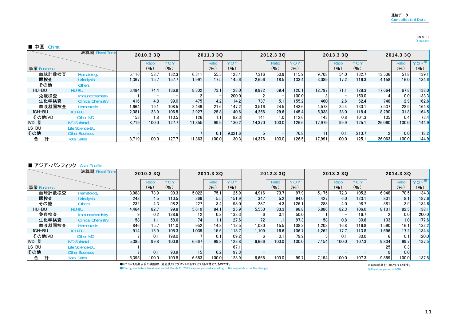### (百万円)<br>(¥ million)

#### ■ 中国 China

|             | 決算期 Fiscal Term           |       | 2010.3 3Q         |       |        | 2011.3 3Q |            |        | 2012.3 30 |       |        | 2013.3 3Q |       |        | 2014.3 3Q |                  |
|-------------|---------------------------|-------|-------------------|-------|--------|-----------|------------|--------|-----------|-------|--------|-----------|-------|--------|-----------|------------------|
|             |                           |       | Ratio             | YOY   |        | Ratio     | <b>YOY</b> |        | Ratio     | YOY   |        | Ratio     | YOY   |        | Ratio     | YOY <sup>*</sup> |
| 事業 Business |                           |       | (%)               | (%)   |        | (%)       | (9)        |        | (%)       | (96)  |        | (% )      | (%)   |        | $($ % $)$ | (%)              |
| 血球計数検査      | Hematology                | 5.116 | 58.7              | 132.3 | 6.311  | 55.5      | 123.4      | 7.316  | 50.9      | 115.9 | 9.708  | 54.0      | 132.7 | 13.506 | 51.8      | 139.1            |
| 尿検査         | <b>Urinalysis</b>         | 1.367 | 15.7              | 157.7 | 1.991  | 17.5      | 145.6      | 2.656  | 18.5      | 133.4 | 3.089  | 17.2      | 116.3 | 4.158  | 16.0      | 134.6            |
| その他         | <b>Others</b>             |       |                   |       |        |           |            |        |           |       |        |           |       |        |           |                  |
| HU-BU       | HU-BU                     | 6.484 | 74.4 <sub>1</sub> | 136.9 | 8.302  | 73.1      | 128.0      | 9.972  | 69.4      | 120.1 | 12.797 | 71.1      | 128.3 | 17.664 | 67.8      | 138.0            |
| 免疫検査        | Immunochemistry           |       |                   |       |        |           | 200.0      |        |           | 100.0 |        |           | 150.0 |        | 0.0       | 133.3            |
| 生化学検査       | <b>Clinical Chemistry</b> | 416   | 4.8               | 99.0  | 475    | 4.2       | 114.2      | 737    | 5.1       | 155.2 | 460    | 2.6       | 62.4  | 748    | 2.9       | 162.6            |
| 血液凝固検査      | <b>Hemostasis</b>         | 1.664 | 19.1              | 108.5 | 2.449  | 21.6      | 147.2      | 3.516  | 24.5      | 143.6 | 4.573  | 25.4      | 130.1 | 7,537  | 28.9      | 164.8            |
| ICH-BU      | <b>ICH-BU</b>             | 2.081 | 23.9              | 106.5 | 2.927  | 25.8      | 140.6      | 4.256  | 29.6      | 145.4 | 5.038  | 28.0      | 118.4 | 8,290  | 31.8      | 164.5            |
| その他IVD      | <b>Other IVD</b>          | 153   | 1.8               | 110.5 | 126    |           | 82.3       | 141    | 1.0       | 112.6 | 143    | 0.8       | 101.3 | 105    | 0.4       | 73.4             |
| IVD 計       | <b>IVD Subtotal</b>       | 8.719 | 100.0             | 127.7 | 11.355 | 99.9      | 130.2      | 14.370 | 100.0     | 126.6 | 17.979 | 99.9      | 125.1 | 26.060 | 100.0     | 144.9            |
| LS-BU       | <b>Life Science-BU</b>    |       |                   |       |        |           |            |        |           |       |        |           |       |        |           |                  |
| その他         | <b>Other Business</b>     |       |                   |       |        | 0.1       | 9.021.6    |        |           | 76.8  | 11     | 0.1       | 213.7 |        | 0.0       | 18.2             |
| 計<br>合      | <b>Total Sales</b>        | 8,719 | 100.0             | 127.7 | 11.363 | 100.0     | 130.3      | 14.376 | 100.0     | 126.5 | 17.991 | 100.0     | 125.1 | 26.063 | 100.0     | 144.9            |

#### ■ アジア・パシフィック Asia-Pacific

|             | 決算期 Fiscal Term           |       | 2010.3 3Q |       |                 | 2011.3 3Q |       |       | 2012.3 3Q        |       |       | 2013.3 3Q |       |       | 2014.3 3Q |                  |
|-------------|---------------------------|-------|-----------|-------|-----------------|-----------|-------|-------|------------------|-------|-------|-----------|-------|-------|-----------|------------------|
|             |                           |       | Ratio     | YOY   |                 | Ratio     | YOY   |       | Ratio            | YOY   |       | Ratio     | YOY   |       | Ratio     | YOY <sup>*</sup> |
| 事業 Business |                           |       | (9)       | (96)  |                 | (% )      | (%)   |       | (9)              | (%)   |       | (9)       | (%)   |       | (9)       | (9)              |
| 血球計数検査      | Hematology                | 3,988 | 73.9      | 99.3  | 5.022           | 75.1      | 125.9 | 4.916 | 73.7             | 97.9  | 5.175 | 72.3      | 105.2 | 6,948 | 70.5      | 134.3            |
| 尿検査         | <b>Urinalysis</b>         | 243   | 4.5       | 110.5 | 369             | 5.5       | 151.9 | 347   | 5.2              | 94.0  | 427   | 6.0       | 123.1 | 801   | 8.1       | 187.6            |
| その他         | Others                    | 232   | 4.3       | 98.2  | 227             | 3.4       | 98.0  | 287   | 4.3              | 126.1 | 283   | 4.0       | 98.7  | 381   | 3.9       | 134.6            |
| HU-BU       | HU-BU                     | 4.464 | 82.7      | 99.8  | 5.619           | 84.1      | 125.9 | 5.550 | 83.3             | 98.8  | 5.886 | 82.3      | 106.0 | 8,131 | 82.5      | 138.1            |
| 免疫検査        | Immunochemistry           |       | 0.2       | 128.6 | 12              | 0.2       | 133.3 |       | 0.1              | 50.0  |       |           | 16.7  |       | 0.0       | 200.0            |
| 生化学検査       | <b>Clinical Chemistry</b> | 58    | 1.1       | 58.6  | 74              |           | 127.6 | 72    | 1.1 <sub>1</sub> | 97.3  | 58    | 0.8       | 80.6  | 103   | 1.01      | 177.6            |
| 血液凝固検査      | <b>Hemostasis</b>         | 846   | 15.7      | 111.0 | 952             | 14.3      | 112.5 | 1.030 | 15.5             | 108.2 | 1.203 | 16.8      | 116.8 | 1.590 | 16.1      | 132.2            |
| ICH-BU      | <b>ICH-BU</b>             | 914   | 16.9      | 105.3 | 1.039           | 15.6      | 113.7 | 1.109 | 16.6             | 106.7 | 1.262 | 17.7      | 113.8 | 1.696 | 17.2      | 134.4            |
| その他IVD      | Other IVD                 |       | 0.1       | 198.0 |                 | 0.1       | 109.2 |       | 0.1              | 79.9  |       | 0.1       | 80.0  |       | 0.1       | 120.0            |
| IVD 計       | <b>IVD Subtotal</b>       | 5.385 | 99.8      | 100.8 | 6.667           | 99.8      | 123.8 | 6.666 | 100.0            | 100.0 | 7.154 | 100.0     | 107.3 | 9,834 | 99.7      | 137.5            |
| LS-BU       | Life Science-BU           |       |           |       |                 |           | 67.1  |       |                  |       |       |           |       | 25    | 0.3       |                  |
| その他         | <b>Other Business</b>     |       | 0.1       | 93.9  | 15 <sub>1</sub> | 0.2       | 197.3 |       |                  |       |       |           |       |       | 0.0       |                  |
| 合           | <b>Total Sales</b>        | 5,395 | 100.0     | 100.8 | 6.683           | 100.0     | 123.9 | 6.666 | 100.0            | 99.7  | 7.154 | 100.0     | 107.3 | 9,859 | 100.0     | 137.8            |

●2013年3月期以前の実績は、変更後のセグメントに合わせて組み替えたものです。

●The figures before fiscal year ended March 31, 2013 are reorganized according to the segments after the changes.

※前年同期を100%としています。 ※Previous period = 100%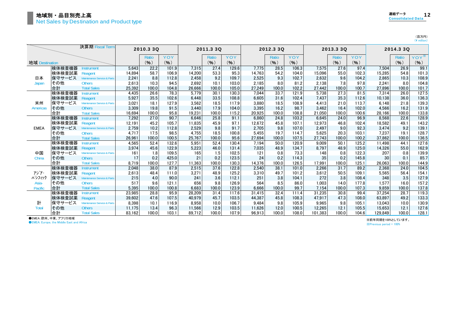(百万円)<br>(¥ million)

|                |        | 決算期 Fiscal Term                        |        | 2010.3 3Q    |       |        | 2011.3 3Q    |       |        | 2012.3 3Q    |       |         | 2013.3 3Q |       |         | 2014.3 3Q    |                  |
|----------------|--------|----------------------------------------|--------|--------------|-------|--------|--------------|-------|--------|--------------|-------|---------|-----------|-------|---------|--------------|------------------|
|                |        |                                        |        | <b>Ratio</b> | YOY   |        | <b>Ratio</b> | YOY   |        | <b>Ratio</b> | YOY   |         | Ratio     | YOY   |         | <b>Ratio</b> | YOY <sup>*</sup> |
| 地域 Destination |        |                                        |        | (9)          | (9)   |        | (9)          | (%)   |        | (9)          | (%)   |         | (9)       | (9)   |         | (9)          | (%)              |
|                | 検体検査機器 | <b>Instrument</b>                      | 5.643  | 22.2         | 101.9 | 7.315  | 27.4         | 129.6 | 7.775  | 28.5         | 106.3 | 7.575   | 27.6      | 97.4  | 7.504   | 26.9         | 99.1             |
|                | 検体検査試薬 | Reagent                                | 14,894 | 58.7         | 106.9 | 14,200 | 53.3         | 95.3  | 14,763 | 54.2         | 104.0 | 15,096  | 55.0      | 102.3 | 15,285  | 54.8         | 101.3            |
| 日本             | 保守サービス | Maintenance Service & Parts            | 2,241  | 8.8          | 112.8 | 2,458  | 9.2          | 109.7 | 2,525  | 9.3          | 102.7 | 2.632   | 9.6       | 104.2 | 2,865   | 10.3         | 108.9            |
| Japan          | その他    | <b>Others</b>                          | 2.613  | 10.3         | 94.5  | 2,692  | 10.1         | 103.0 | 2,185  | 8.0          | 81.2  | 2.138   | 7.8       | 97.8  | 2,241   | 8.0          | 104.8            |
|                | 合計     | <b>Total Sales</b>                     | 25,392 | 100.0        | 104.8 | 26,666 | 100.0        | 105.0 | 27,249 | 100.0        | 102.2 | 27.442  | 100.0     | 100.7 | 27,896  | 100.0        | 101.7            |
|                | 検体検査機器 | nstrument                              | 4.435  | 26.6         | 78.3  | 5.779  | 30.1         | 130.3 | 7.044  | 33.7         | 121.9 | 5.738   | 27.3      | 81.5  | 7.314   | 26.0         | 127.5            |
|                | 検体検査試薬 | Reagent                                | 5.927  | 35.5         | 102.6 | 6.448  | 33.5         | 108.8 | 6.605  | 31.6         | 102.4 | 7.437   | 35.3      | 112.6 | 10.138  | 36.0         | 136.3            |
| 米州             | 保守サービス | Maintenance Service & Parts            | 3.021  | 18.1         | 127.9 | 3,562  | 18.5         | 117.9 | 3,880  | 18.5         | 108.9 | 4.413   | 21.0      | 113.7 | 6,148   | 21.8         | 139.3            |
| Americas       | その他    | <b>Others</b>                          | 3.309  | 19.8         | 91.5  | 3,440  | 17.9         | 104.0 | 3,395  | 16.2         | 98.7  | 3.462   | 16.4      | 102.0 | 4,566   | 16.2         | 131.9            |
|                | 合計     | <b>Total Sales</b>                     | 16.694 | 100.0        | 95.8  | 19.231 | 100.0        | 115.2 | 20.925 | 100.0        | 108.8 | 21.050  | 100.0     | 100.6 | 28.166  | 100.0        | 133.8            |
|                | 検体検査機器 | <b>Instrument</b>                      | 7,292  | 27.0         | 90.7  | 6.646  | 25.8         | 91.1  | 6.860  | 24.8         | 103.2 | 6.645   | 24.0      | 96.9  | 8,568   | 22.6         | 128.9            |
|                | 検体検査試薬 | Reagent                                | 12.191 | 45.2         | 105.7 | 11.835 | 45.9         | 97.1  | 12.672 | 45.8         | 107.1 | 12.973  | 46.8      | 102.4 | 18.582  | 49.1         | 143.2            |
| <b>EMEA</b>    | 保守サービス | Maintenance Service & Parts            | 2.759  | 10.2         | 112.8 | 2,529  | 9.8          | 91.7  | 2.705  | 9.8          | 107.0 | 2.497   | 9.0       | 92.3  | 3.474   | 9.2          | 139.1            |
|                | その他    | <b>Others</b>                          | 4.717  | 17.5         | 98.5  | 4.755  | 18.5         | 100.8 | 5.455  | 19.7         | 114.7 | 5.625   | 20.3      | 103.1 | 7.237   | 19.1         | 128.7            |
|                | 合計     | <b>Total Sales</b>                     | 26,961 | 100.0        | 100.5 | 25,767 | 100.0        | 95.6  | 27,694 | 100.0        | 107.5 | 27.743  | 100.0     | 100.2 | 37,862  | 100.0        | 136.5            |
|                | 検体検査機器 | nstrument                              | 4.565  | 52.4         | 132.6 | 5.951  | 52.4         | 130.4 | 7.194  | 50.0         | 120.9 | 9.009   | 50.1      | 125.2 | 11.498  | 44.1         | 127.6            |
|                | 検体検査試薬 | Reagent                                | 3,974  | 45.6         | 122.9 | 5,223  | 46.0         | 131.4 | 7.035  | 48.9         | 134.7 | 8.797   | 48.9      | 125.0 | 14,326  | 55.0         | 162.9            |
| 中国             | 保守サービス | Maintenance Service & Parts            | 161    | 1.8          | 109.5 | 165    | 1.5          | 102.5 | 121    | 0.8          | 73.3  | 148     | 0.8       | 122.3 | 207     | 0.8          | 139.9            |
| China          | その他    | <b>Others</b>                          | 17     | 0.2          | 425.0 | 21     | 0.2          | 123.5 | 24     | 0.2          | 114.3 | 35      | 0.2       | 145.8 | 30      | 0.1          | 85.7             |
|                | 合計     | <b>Total Sales</b>                     | 8.719  | 100.0        | 127.7 | 11.363 | 100.0        | 130.3 | 14.376 | 100.0        | 126.5 | 17.991  | 100.0     | 125.1 | 26.063  | 100.0        | 144.9            |
|                | 検体検査機器 | nstrument                              | 2.048  | 38.0         | 87.9  | 2,515  | 37.6         | 122.8 | 2.540  | 38.1         | 101.0 | 2.266   | 31.7      | 89.2  | 2,368   | 24.0         | 104.5            |
| アジア・           | 検体検査試薬 | Reagent                                | 2.613  | 48.4         | 111.0 | 3,271  | 48.9         | 125.2 | 3,310  | 49.7         | 101.2 | 3.612   | 50.5      | 109.1 | 5,565   | 56.4         | 154.1            |
| パシフィック         | 保守サービス | <b>Maintenance Service &amp; Parts</b> | 215    | 4.0          | 90.0  | 241    | 3.6          | 112.1 | 251    | 3.8          | 104.1 | 272     | 3.8       | 108.4 | 348     | 3.5          | 127.9            |
| Asia-          | その他    | <b>Others</b>                          | 517    | 9.6          | 121.1 | 656    | 9.8          | 126.9 | 564    | 8.5          | 86.0  | 1.003   | 14.0      | 177.8 | 1.577   | 16.0         | 157.2            |
| Pacific        | 合計     | <b>Total Sales</b>                     | 5.395  | 100.0        | 100.8 | 6.683  | 100.0        | 123.9 | 6.666  | 100.0        | 99.7  | 7.154   | 100.0     | 107.3 | 9.859   | 100.0        | 137.8            |
|                | 検体検査機器 | Instrument                             | 23,985 | 28.8         | 95.9  | 28,209 | 31.4         | 117.6 | 31.415 | 32.4         | 111.4 | 31.235  | 30.8      | 99.4  | 37,254  | 28.7         | 119.3            |
|                | 検体検査試薬 | Reagent                                | 39.602 | 47.6         | 107.5 | 40,979 | 45.7         | 103.5 | 44.387 | 45.8         | 108.3 | 47.917  | 47.3      | 108.0 | 63.897  | 49.2         | 133.3            |
| 計              | 保守サービス | Maintenance Service & Parts            | 8.398  | 10.1         | 116.9 | 8.958  | 10.0         | 106.7 | 9.484  | 9.8          | 105.9 | 9.965   | 9.8       | 105.1 | 13.043  | 10.0         | 130.9            |
| <b>Total</b>   | その他    | <b>Others</b>                          | 11.175 | 13.4         | 96.3  | 11.566 | 12.9         | 103.5 | 11.626 | 12.0         | 100.5 | 12.265  | 12.1      | 105.5 | 15.653  | 12.1         | 127.6            |
|                | 合計     | <b>Total Sales</b>                     | 83.162 | 100.0        | 103.1 | 89.712 | 100.0        | 107.9 | 96.913 | 100.0        | 108.0 | 101.383 | 100.0     | 104.6 | 129,849 | 100.0        | 128.1            |

●EMEA:欧州、中東、アフリカ地域

**CEMEA: Europe, the Middle East and Africa** 

※前年同期を100%としています。

※Previous period = 100%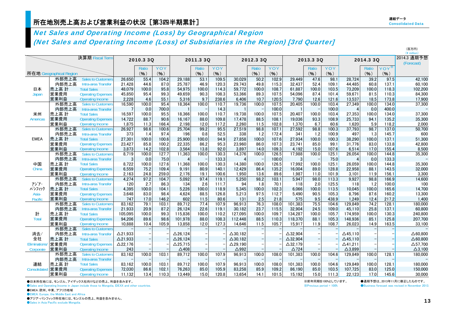|                     |                         |                           |                 |           |           |                 |              |        |                       |           |       |                    |              |         |                   |           |                  | (¥ million)               |
|---------------------|-------------------------|---------------------------|-----------------|-----------|-----------|-----------------|--------------|--------|-----------------------|-----------|-------|--------------------|--------------|---------|-------------------|-----------|------------------|---------------------------|
|                     |                         | 決算期 Fiscal Term           |                 | 2010.3 3Q |           |                 | 2011.3 3Q    |        |                       | 2012.3 3Q |       |                    | 2013.3 3Q    |         |                   | 2014.3 3Q |                  | 2014.3 通期予想<br>(Forecast) |
|                     |                         |                           |                 | Ratio     | YOY       |                 | <b>Ratio</b> | YOY    |                       | Ratio     | YOY   |                    | <b>Ratio</b> | YOY     |                   | Ratio     | YOY <sup>*</sup> |                           |
|                     | 所在地 Geographical Region |                           |                 | $($ % $)$ | $($ % $)$ |                 | (%)          | $($ %) |                       | (%)       | (%)   |                    | (%)          | $(\% )$ |                   | (%)       | (%)              |                           |
|                     | 外部売上高                   | <b>Sales to Customers</b> | 26,650          | 55.4      | 104.2     | 29,188          | 53.1         | 109.5  | 30,029                | 50.2      | 102.9 | 29,449             | 47.6         | 98.1    | 28,724            | 39.2      | 97.5             | 42,100                    |
|                     | 内部売上高                   | Intra-area Transfer       | 21,428          | 44.6      | 87.0      | 25,787          | 46.9         | 120.3  | 29.743                | 49.8      | 115.3 | 32,437             | 52.4         | 109.1   | 44.485            | 60.8      | 137.1            | 60,100                    |
| 日本                  | 売上高 計                   | <b>Total Sales</b>        | 48.079          | 100.0     | 95.8      | 54.975          | 100.0        | 114.3  | 59.772                | 100.0     | 108.7 | 61.887             | 100.0        | 103.5   | 73.209            | 100.0     | 118.3            | 102,200                   |
| Japan               | 営業費用                    | <b>Operating Expenses</b> | 45,850          | 95.4      | 99.3      | 49,659          | 90.3         | 108.3  | 53,366                | 89.3      | 107.5 | 54,096             | 87.4         | 101.4   | 59,671            | 81.5      | 110.3            | 84,300                    |
|                     | 営業利益                    | <b>Operating Income</b>   | 2,228           | 4.6       | 55.1      | 5,316           | 9.7          | 238.6  | 6.406                 | 10.7      | 120.5 | 7,790              | 12.6         | 121.6   | 13.537            | 18.5      | 173.8            | 17,900                    |
|                     | 外部売上高                   | <b>Sales to Customers</b> | 16,590          | 100.0     | 95.4      | 18,364          | 100.0        | 110.7  | 19,736                | 100.0     | 107.5 | 20,405             | 100.0        | 103.4   | 27,349            | 100.0     | 134.0            | 37,300                    |
|                     | 内部売上高                   | Intra-area Transfer       |                 | 0.0       | 700.0     |                 |              | 14.3   |                       |           | 100.0 |                    |              | 100.0   | 4                 | 0.0       | 400.0            |                           |
| 米州                  | 売上高 計                   | <b>Total Sales</b>        | 16,597          | 100.0     | 95.5      | 18,366          | 100.0        | 110.7  | 19.738                | 100.0     | 107.5 | 20.407             | 100.0        | 103.4   | 27,353            | 100.0     | 134.0            | 37,300                    |
| Americas            | 営業費用                    | <b>Operating Expenses</b> | 14,722          | 88.7      | 90.6      | 16,167          | 88.0         | 109.8  | 17,478                | 88.5      | 108.1 | 19,036             | 93.3         | 108.9   | 25,733            | 94.1      | 135.2            | 35,300                    |
|                     | 営業利益                    | <b>Operating Income</b>   | 1.875           | 11.3      | 166.4     | 2,198           | 12.0         | 117.2  | 2.260                 | 11.5      | 102.8 | 1.370              | 6.7          | 60.6    | 1.620             | 5.9       | 118.2            | 2,000                     |
|                     | 外部売上高                   | <b>Sales to Customers</b> | 26,927          | 98.6      | 100.6     | 25,704          | 99.2         | 95.5   | 27,519                | 98.8      | 107.1 | 27,592             | 98.8         | 100.3   | 37.793            | 98.7      | 137.0            | 50,700                    |
|                     | 内部売上高                   | Intra-area Transfer       | 373             | 1.4       | 97.4      | 196             | 0.8          | 52.5   | 338                   | 1.2       | 172.4 | 341                | 1.2          | 100.9   | 497               | 1.3       | 145.7            | 600                       |
| <b>EMEA</b>         | 売上高 計                   | <b>Total Sales</b>        | 27,301          | 100.0     | 100.6     | 25,900          | 100.0        | 94.9   | 27,858                | 100.0     | 107.6 | 27,934             | 100.0        | 100.3   | 38,290            | 100.0     | 137.1            | 51,300                    |
|                     | 営業費用                    | <b>Operating Expenses</b> | 23,427          | 85.8      | 100.2     | 22,335          | 86.2         | 95.3   | 23.960                | 86.0      | 107.3 | 23.741             | 85.0         | 99.1    | 31.776            | 83.0      | 133.8            | 42,800                    |
|                     | 営業利益                    | <b>Operating Income</b>   | 3.873           | 14.2      | 102.8     | 3.564           | 13.8         | 92.0   | 3.897                 | 14.0      | 109.3 | 4.192              | 15.0         | 107.6   | 6.514             | 17.0      | 155.4            | 8,500                     |
|                     | 外部売上高                   | <b>Sales to Customers</b> | 8,719           | 100.0     | 127.7     | 11,363          | 100.0        | 130.3  | 14,376                | 100.0     | 126.5 | 17,988             | 100.0        | 125.1   | 26,054            | 100.0     | 144.8            | 35,300                    |
|                     | 内部売上高                   | Intra-area Transfer       |                 | 0.0       | 75.0      | $\overline{4}$  |              | 133.3  | $\boldsymbol{\Delta}$ |           | 100.0 | 3                  |              | 75.0    | 4                 | 0.0       | 133.3            |                           |
| 中国                  | 売上高 計                   | <b>Total Sales</b>        | 8.722           | 100.0     | 127.6     | 11.368          | 100.0        | 130.3  | 14.380                | 100.0     | 126.5 | 17.992             | 100.0        | 125.1   | 26.059            | 100.0     | 144.8            | 35,300                    |
| China               | 営業費用                    | <b>Operating Expenses</b> | 6,559           | 75.2      | 109.4     | 9,191           | 80.9         | 140.1  | 12,429                | 86.4      | 135.2 | 16,004             | 89.0         | 128.8   | 22,958            | 88.1      | 143.5            | 32,000                    |
|                     | 営業利益                    | <b>Operating Income</b>   | 2,163           | 24.8      | 259.0     | 2,176           | 19.1         | 100.6  | 1,950                 | 13.6      | 89.6  | 1,987              | 11.0         | 101.9   | 3,101             | 11.9      | 156.1            | 3,300                     |
|                     | 外部売上高                   | <b>Sales to Customers</b> | 4.274           | 97.2      | 104.7     | 5.092           | 97.4         | 119.1  | 5.250                 | 98.2      | 103.1 | 5,947              | 98.0         | 113.3   | 9.927             | 98.8      | 166.9            | 14.600                    |
| アジア・                | 内部売上高                   | Intra-area Transfer       | 120             | 2.7       | 86.3      | 134             | 2.6          | 111.7  | 94                    | 1.8       | 70.1  | 118                | 2.0          | 125.5   | 118               | 1.2       | 100.0            | 100                       |
| ハシフィック              | 売上高 計                   | <b>Total Sales</b>        | 4,395           | 100.0     | 104.1     | 5,226           | 100.0        | 118.9  | 5,345                 | 100.0     | 102.3 | 6,066              | 100.0        | 113.5   | 10.045            | 100.0     | 165.6            | 14,700                    |
| Asia-               | 営業費用                    | <b>Operating Expenses</b> | 3.648           | 83.0      | 98.4      | 4.624           | 88.5         | 126.8  | 5.213                 | 97.5      | 112.7 | 5.490              | 90.5         | 105.3   | 8.796             | 87.6      | 160.2            | 13.300                    |
| Pacific             | 営業利益                    | Operating Income          | 747             | 17.0      | 146.2     | 602             | 11.5         | 80.6   | 131                   | 2.5       | 21.8  | 575                | 9.5          | 438.9   | 1.249             | 12.4      | 217.2            | 1,400                     |
|                     | 外部売上高                   | <b>Sales to Customers</b> | 83,162          | 79.1      | 103.1     | 89,712          | 77.4         | 107.9  | 96.913                | 76.3      | 108.0 | 101.383            | 75.5         | 104.6   | 129.849           | 74.2      | 128.1            | 180,000                   |
|                     | 内部売上高                   | Intra-area Transfer       | 21,933          | 20.9      | 87.2      | 26,124          | 22.6         | 119.1  | 30,182                | 23.7      | 115.5 | 32,904             | 24.5         | 109.0   | 45,110            | 25.8      | 137.1            | 60,800                    |
| 計                   | 売上高 計                   | <b>Total Sales</b>        | 105.095         | 100.0     | 99.3      | 115,836         | 100.0        | 110.2  | 127.095               | 100.0     | 109.7 | 134,287            | 100.0        | 105.7   | 174.959           | 100.0     | 130.3            | 240,800                   |
| <b>Total</b>        | 営業費用                    | <b>Operating Expenses</b> | 94,206          | 89.6      | 98.6      | 101,978         | 88.0         | 108.3  | 112.448               | 88.5      | 110.3 | 118,370            | 88.1         | 105.3   | 148.936           | 85.1      | 125.8            | 207,700                   |
|                     | 営業利益                    | <b>Operating Income</b>   | 10.888          | 10.4      | 105.9     | 13,858          | 12.0         | 127.3  | 14.646                | 11.5      | 105.7 | 15,917             | 11.9         | 108.7   | 26,023            | 14.9      | 163.5            | 33,100                    |
|                     | 外部売上高                   | <b>Sales to Customers</b> |                 |           |           |                 |              |        |                       |           |       |                    |              |         |                   |           |                  |                           |
| 消去/                 | 内部売上高                   | Intra-area Transfer       | $\Delta$ 21.933 |           |           | $\Delta$ 26,124 |              |        | $\Delta$ 30.182       |           |       | $\triangle$ 32,904 |              |         | $\Delta$ 45.110   |           |                  | $\triangle$ 60,800        |
| 全社                  | 売上高 計                   | <b>Total Sales</b>        | $\Delta$ 21.933 |           |           | $\Delta$ 26,124 |              |        | $\Delta$ 30.182       |           |       | $\triangle$ 32,904 |              |         | $\Delta$ 45.110   |           |                  | $\triangle$ 60,800        |
| <b>Eliminations</b> | 営業費用                    | <b>Operating Expenses</b> | $\Delta$ 22.176 |           |           | $\Delta$ 25,715 |              |        | $\Delta$ 29,190       |           |       | $\Delta$ 32.179    |              |         | $\Delta$ 41.211   |           |                  | $\Delta$ 57,700           |
| Corporate           | 営業利益                    | <b>Operating Income</b>   | 243             |           |           | $\triangle$ 408 |              |        | $\triangle$ 992       |           |       | $\triangle$ 724    |              |         | $\triangle$ 3.899 |           |                  | $\Delta$ 3,100            |
|                     | 外部売上高                   | <b>Sales to Customers</b> | 83,162          | 100.0     | 103.      | 89,712          | 100.0        | 107.9  | 96,913                | 100.0     | 108.0 | 101,383            | 100.0        | 104.6   | 129,849           | 100.0     | 128.1            | 180,000                   |
|                     | 内部売上高                   | Intra-area Transfer       |                 |           |           |                 |              |        |                       |           |       |                    |              |         |                   |           |                  |                           |
| 連結                  | 売上高 計                   | <b>Total Sales</b>        | 83.162          | 100.0     | 103.1     | 89,712          | 100.0        | 107.9  | 96.913                | 100.0     | 108.0 | 101,383            | 100.0        | 104.6   | 129.849           | 100.0     | 128.1            | 180,000                   |
| Consolidated        | 営業費用                    | <b>Operating Expenses</b> | 72,030          | 86.6      | 102.1     | 76,263          | 85.0         | 105.9  | 83,258                | 85.9      | 109.2 | 86,190             | 85.0         | 103.5   | 107.725           | 83.0      | 125.0            | 150,000                   |
|                     | 営業利益                    | <b>Operating Income</b>   | 11,132          | 13.4      | 110.3     | 13.449          | 15.0         | 120.8  | 13.654                | 14.1      | 101.5 | 15,192             | 15.0         | 111.3   | 22.123            | 17.0      | 145.6            | 30,000                    |

●日本所在地には、モンゴル、アイデックス社向けなどの売上、利益を含みます。

●Sales and Operating Income in Japan include those to Mongolia, IDEXX and other countries.

**OEMEA: Europe, the Middle East and Africa** 

●アジア・パシフィック所在地には、モンゴルの売上、利益を含みません。

● Sales in Asia Pacific exclude Mongolia.

※前年同期を100%としています。 ●通期予想は、2013年11月に修正したものです。

(百万円)

<sup>●</sup>EMEA:欧州、中東、アフリカ地域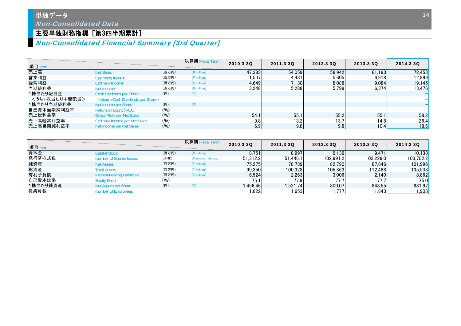## \_<br>|単独デー<u>タ</u> Non-Consolidated Data

## 主要単独財務指標 [第3四半期累計]

## Non-Consolidated Financial Summary [3rd Quarter]

| 項目 Item       |                                                          |       | 決算期 Fiscal Term | 2010.3 3Q | 2011.3 3Q | 2012.3 30 | 2013.3 30 | 2014.3 3Q |
|---------------|----------------------------------------------------------|-------|-----------------|-----------|-----------|-----------|-----------|-----------|
| 売上高           | <b>Net Sales</b>                                         | (百万円) | $(*)$ million)  | 47,383    | 54.059    | 58.942    | 61.193    | 72,453    |
| 営業利益          | <b>Operating Income</b>                                  | (百万円) | $(*)$ million)  | 1,537     | 4.431     | 5.605     | 6,918     | 12.899    |
| 経常利益          | Ordinary Income                                          | (百万円) | $(*)$ million)  | 4,649     | 7,130     | 8.088     | 9.084     | 19,145    |
| 当期純利益         | Net Income                                               | (百万円) | $(*$ million)   | 3,248     | 5.288     | 5.799     | 6,374     | 13,476    |
| 1株当たり配当金      | Cash Divdends per Share                                  | (円)   | $(\ddot{\ast})$ |           |           |           |           |           |
| <うち1株当たり中間配当> | <interim cash="" dividends="" per="" share=""></interim> |       |                 |           |           |           |           |           |
| 1株当たり当期純利益    | Net Income per Share                                     | (円)   | $(\c{4})$       |           |           |           |           |           |
| 自己資本当期純利益率    | Return on Equity [ROE]                                   | (96)  |                 |           |           |           |           |           |
| 売上総利益率        | <b>Gross Profit per Net Sales</b>                        | (96)  |                 | 54.1      | 55.1      | 55.2      | 55.1      | 58.2      |
| 売上高経常利益率      | <b>Ordinary Income per Net Sales</b>                     | (9/6) |                 | 9.8       | 13.2      | 13.7      | 14.8      | 26.4      |
| 売上高当期純利益率     | Net Income per Net Sales                                 | (96)  |                 | 6.9       | 9.8       | 9.8       | 10.4      | 18.6      |

| 項目 Item  |                              |       | 決算期 Fiscal Term   | 2010.3 3Q  | 2011.3 3Q | 2012.3 30 | 2013.3 30            | 2014.3 3Q              |
|----------|------------------------------|-------|-------------------|------------|-----------|-----------|----------------------|------------------------|
| 資本金      | <b>Capital Stock</b>         | (百万円) | $(*)$ million)    | 8.751      | 8.997     | 9.136     | 9.471                | 10.138                 |
| 発行済株式数   | Number of Shares Issued      | (千株)  | (thousand shares) | 51.312.2   | 51.446.1  | 102.991.2 | 103.229.0            | 103.702.2              |
| 純資産      | <b>Net Assets</b>            | (百万円) | $(*)$ million)    | 75.275     | 78.739    | 82.790    | 87.846               | 101,996                |
| 総資産      | <b>Total Assets</b>          | (百万円) | $(*)$ million)    | 99.350     | 100.328   | 105.863   | 112.4881             | 135,508 <mark> </mark> |
| 有利子負債    | Interest-bearing Liabilities | (百万円) | $(*)$ million)    | 6.524      | 2,263     | 3,006     | 2.140                | 8,862                  |
| 自己資本比率   | <b>Equity Ratio</b>          | (96)  |                   | 75.1       | 77.91     | 77.7      | 77.7                 | 75.0                   |
| 1株当たり純資産 | Net Assets per Share         | (円)   | (¥)               | ا456.46. ا | 1.521.74  | 800.07    | 848.55               | 981.97                 |
| 従業員数     | <b>Number of Employees</b>   |       |                   | .622       | ا 653. ا  | .777      | 1.843 <mark> </mark> | ,908                   |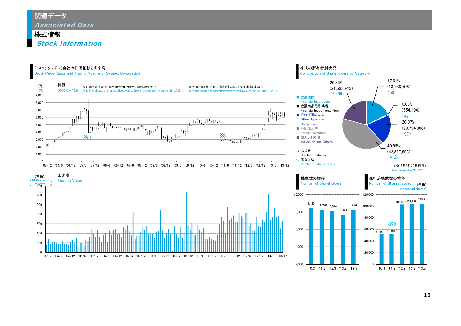#### 株式情報

Stock Information

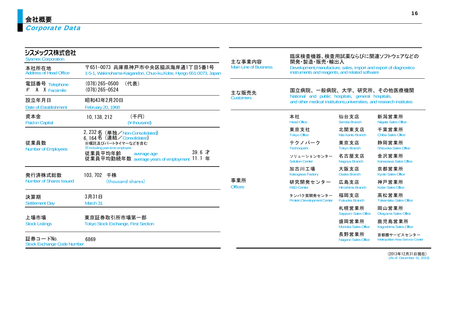| シスメックス株式会社<br><b>Sysmex Corporation</b>       |                                                                                                       | 主な事業内容                       | 開発·製造·販売·輸出入                                                                                                               |                                      | 臨床検査機器、検査用試薬ならびに関連ソフトウェアなどの                     |  |  |  |
|-----------------------------------------------|-------------------------------------------------------------------------------------------------------|------------------------------|----------------------------------------------------------------------------------------------------------------------------|--------------------------------------|-------------------------------------------------|--|--|--|
| 本社所在地<br><b>Address of Head Office</b>        | 〒651-0073 兵庫県神戸市中央区脇浜海岸通1丁目5番1号<br>1-5-1, Wakinohama-Kaigandori, Chuo-ku, Kobe, Hyogo 651-0073, Japan | <b>Main Line of Business</b> | Development, manufacture, sales, import and export of diagnostics<br>instruments and reagents, and related software        |                                      |                                                 |  |  |  |
| 電話番号 Telephone<br>A X Facsimile<br>F          | $(078)$ 265-0500<br>(代表)<br>$(078)$ 265-0524                                                          | 主な販売先                        | 国立病院、一般病院、大学、研究所、その他医療機関                                                                                                   |                                      |                                                 |  |  |  |
| 設立年月日<br>Date of Establishment                | 昭和43年2月20日<br>February 20, 1968                                                                       | <b>Customers</b>             | National and public hospitals, general hospitals,<br>and other medical institutions, universities, and research institutes |                                      |                                                 |  |  |  |
| 資本金<br>Paid-in Capital                        | (千円)<br>10, 138, 212<br>(¥ thousand)                                                                  |                              | 本社<br><b>Head Office</b>                                                                                                   | 仙台支店<br>Sendai Branch                | 新潟営業所<br>Niigata Sales Office                   |  |  |  |
|                                               | 2, 232 名 (単独/Non-Consolidated)<br>6.164名 (連結/Consolidated)                                            |                              | 東京支社<br><b>Tokyo Office</b>                                                                                                | 北関東支店<br>Kita Kanto Branch           | 千葉営業所<br>Chiba Sales Office                     |  |  |  |
| 従業員数<br><b>Number of Employees</b>            | ※嘱託及びパートタイマーなどを含む<br><b>X</b> Including part-time employee                                            |                              | テクノパーク<br>Technopark                                                                                                       | 東京支店<br><b>Tokyo Branch</b>          | 静岡営業所<br><b>Shizuoka Sales Office</b>           |  |  |  |
|                                               | $39.6$ 才<br>従業員平均年齢<br>average age<br>従業員平均勤続年数 average years of employment 11.1 年                    |                              | ソリューションセンター<br><b>Solution Center</b>                                                                                      | 名古屋支店<br>Nagoya Branch               | 金沢営業所<br>Kanazawa Sales Office                  |  |  |  |
| 発行済株式総数                                       | 103, 702 千株                                                                                           |                              | 加古川工場<br>Kakogawa Factory                                                                                                  | 大阪支店<br><b>Osaka Branch</b>          | 京都営業所<br><b>Kyoto Sales Office</b>              |  |  |  |
| Number of Shares Issued                       | (thousand shares)                                                                                     | 事業所<br><b>Offices</b>        | 研究開発センター<br><b>R&amp;D Center</b>                                                                                          | 広島支店<br>Hiroshima Branch             | 神戸営業所<br><b>Kobe Sales Office</b>               |  |  |  |
| 決算期<br><b>Settlement Day</b>                  | 3月31日<br>March 31                                                                                     |                              | タンパク質開発センター<br><b>Protein Development Center</b>                                                                           | 福岡支店<br>Fukuoka Branch               | 高松営業所<br><b>Takamatsu Sales Office</b>          |  |  |  |
|                                               |                                                                                                       |                              |                                                                                                                            | 札幌営業所<br><b>Sapporo Sales Office</b> | 岡山営業所<br>Okayama Sales Office                   |  |  |  |
| 上場市場<br><b>Stock Listings</b>                 | 東京証券取引所市場第一部<br><b>Tokyo Stock Exchange, First Section</b>                                            |                              |                                                                                                                            | 盛岡営業所<br>Morioka Sales Office        | 鹿児島営業所<br>Kagoshima Sales Office                |  |  |  |
| 証券コードNo.<br><b>Stock Exchange Code Number</b> | 6869                                                                                                  |                              |                                                                                                                            | 長野営業所<br>Nagano Sales Office         | 首都圏サービスセンター<br>Metropolitan Area Service Center |  |  |  |

(2013年12月31日現在) (As of December 31, 2013)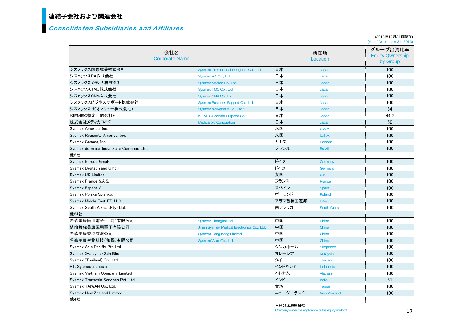## 連結子会社および関連会社

#### Consolidated Subsidiaries and Affiliates

(2013年12月31日現在) (As of December 31, 2013)

|                                             | 会社名<br><b>Corporate Name</b>               |           | 所在地<br>Location     | グループ出資比率<br><b>Equity Qwnership</b><br>by Group |
|---------------------------------------------|--------------------------------------------|-----------|---------------------|-------------------------------------------------|
| シスメックス国際試薬株式会社                              | Sysmex International Reagents Co., Ltd.    | 日本        | Japan               | 100                                             |
| シスメックスRA株式会社                                | Sysmex RA Co., Ltd.                        | 日本        | Japan               | 100                                             |
| シスメックスメディカ株式会社                              | Sysmex Medica Co., Ltd.                    | 日本        | Japan               | 100                                             |
| シスメックスTMC株式会社                               | Sysmex TMC Co., Ltd.                       | 日本        | Japan               | 100                                             |
| シスメックスCNA株式会社                               | Sysmex CNA Co., Ltd.                       | 日本        | Japan               | 100                                             |
| シスメックスビジネスサポート株式会社                          | Sysmex Business Support Co., Ltd.          | 日本        | Japan               | 100                                             |
| シスメックス・ビオメリュー株式会社*                          | Sysmex bioMérieux Co., Ltd.*               | 日本        | Japan               | 34                                              |
| KIFMEC特定目的会社*                               | KIFMEC Specific Purpose Co.*               | 日本        | Japan               | 44.2                                            |
| 株式会社メディカロイド                                 | <b>Medicaroid Corporation</b>              | 日本        | Japan               | 50                                              |
| Sysmex America, Inc.                        |                                            | 米国        | U.S.A.              | 100                                             |
| Sysmex Reagents America, Inc.               |                                            | 米国        | U.S.A.              | 100                                             |
| Sysmex Canada, Inc.                         |                                            | カナダ       | Canada              | 100                                             |
| Sysmex do Brasil Industria e Comercio Ltda. |                                            | ブラジル      | <b>Brazil</b>       | 100                                             |
| 他2社                                         |                                            |           |                     |                                                 |
| Sysmex Europe GmbH                          |                                            | ドイツ       | Germany             | 100                                             |
| Sysmex Deutschland GmbH                     |                                            | ドイツ       | Germany             | 100                                             |
| <b>Sysmex UK Limited</b>                    |                                            | 英国        | U.K.                | 100                                             |
| Sysmex France S.A.S.                        |                                            | フランス      | France              | 100                                             |
| Sysmex Espana S.L.                          |                                            | スペイン      | <b>Spain</b>        | 100                                             |
| Sysmex Polska Sp.z o.o.                     |                                            | ポーランド     | Poland              | 100                                             |
| Sysmex Middle East FZ-LLC                   |                                            | :アラブ首長国連邦 | <b>UAE</b>          | 100                                             |
| Sysmex South Africa (Pty) Ltd.              |                                            | 南アフリカ     | <b>South Africa</b> | 100                                             |
| 他24社                                        |                                            |           |                     |                                                 |
| 希森美康医用電子(上海)有限公司                            | Sysmex Shanghai Ltd.                       | 中国        | China               | 100                                             |
| 済南希森美康医用電子有限公司                              | Jinan Sysmex Medical Electronics Co., Ltd. | 中国        | China               | 100                                             |
| 希森美康香港有限公司                                  | <b>Sysmex Hong Kong Limited</b>            | 中国        | China               | 100                                             |
| 希森美康生物科技(無錫)有限公司                            | Sysmex Wuxi Co., Ltd.                      | 中国        | China               | 100                                             |
| Sysmex Asia Pacific Pte Ltd.                |                                            | シンガポール    | Singapore           | 100                                             |
| Sysmex (Malaysia) Sdn Bhd                   |                                            | マレーシア     | Malaysia            | 100                                             |
| Sysmex (Thailand) Co., Ltd.                 |                                            | タイ        | <b>Thailand</b>     | 100                                             |
| PT. Sysmex Indnesia                         |                                            | インドネシア    | Indonesia           | 100                                             |
| Sysmex Vietnam Company Limited              |                                            | ベトナム      | Vietnam             | 100                                             |
| Sysmex Transasia Services Pvt. Ltd.         |                                            | インド       | India               | 51                                              |
| Sysmex TAIWAN Co., Ltd.                     |                                            | 台湾        | <b>Taiwan</b>       | 100                                             |
| <b>Sysmex New Zealand Limited</b>           |                                            | ニュージーランド  | <b>New Zealand</b>  | 100                                             |
| 他4社                                         |                                            | * 持分法滴用会社 |                     |                                                 |